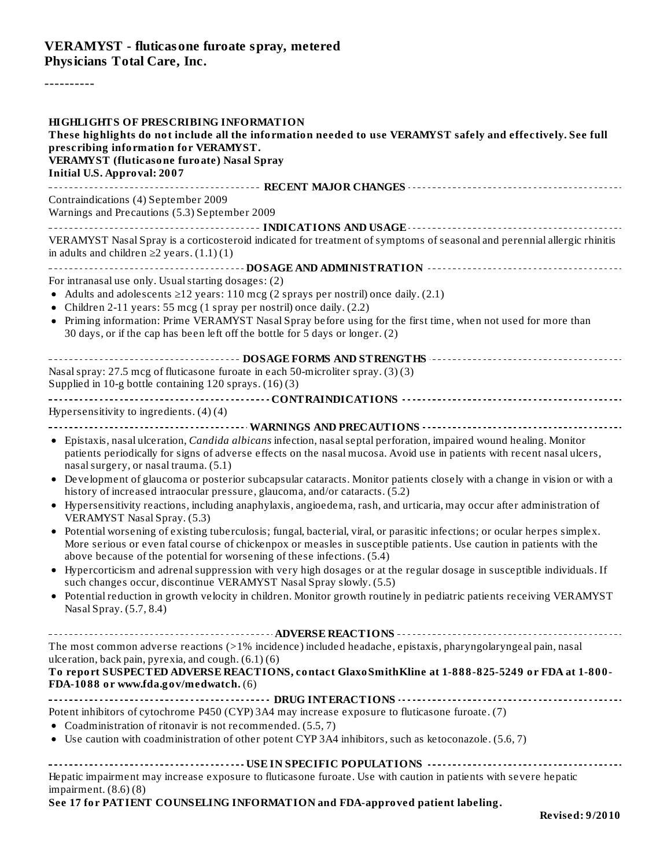#### **VERAMYST - fluticasone furoate spray, metered Physicians Total Care, Inc.**

----------

| <b>HIGHLIGHTS OF PRESCRIBING INFORMATION</b><br>These highlights do not include all the information needed to use VERAMYST safely and effectively. See full<br>prescribing information for VERAMYST.<br><b>VERAMYST</b> (fluticasone furoate) Nasal Spray<br><b>Initial U.S. Approval: 2007</b> |
|-------------------------------------------------------------------------------------------------------------------------------------------------------------------------------------------------------------------------------------------------------------------------------------------------|
| Contraindications (4) September 2009                                                                                                                                                                                                                                                            |
| Warnings and Precautions (5.3) September 2009                                                                                                                                                                                                                                                   |
|                                                                                                                                                                                                                                                                                                 |
| VERAMYST Nasal Spray is a corticosteroid indicated for treatment of symptoms of seasonal and perennial allergic rhinitis<br>in adults and children $\geq$ 2 years. (1.1)(1)                                                                                                                     |
|                                                                                                                                                                                                                                                                                                 |
| For intranasal use only. Usual starting dosages: (2)                                                                                                                                                                                                                                            |
| • Adults and adolescents $\geq$ 12 years: 110 mcg (2 sprays per nostril) once daily. (2.1)<br>• Children 2-11 years: 55 mcg (1 spray per nostril) once daily. (2.2)                                                                                                                             |
| • Priming information: Prime VERAMYST Nasal Spray before using for the first time, when not used for more than                                                                                                                                                                                  |
| 30 days, or if the cap has been left off the bottle for 5 days or longer. (2)                                                                                                                                                                                                                   |
|                                                                                                                                                                                                                                                                                                 |
| Nasal spray: 27.5 mcg of fluticasone furoate in each 50-microliter spray. (3)(3)                                                                                                                                                                                                                |
| Supplied in 10-g bottle containing 120 sprays. (16)(3)                                                                                                                                                                                                                                          |
|                                                                                                                                                                                                                                                                                                 |
| Hypersensitivity to ingredients. (4)(4)                                                                                                                                                                                                                                                         |
|                                                                                                                                                                                                                                                                                                 |
| • Epistaxis, nasal ulceration, Candida albicans infection, nasal septal perforation, impaired wound healing. Monitor<br>patients periodically for signs of adverse effects on the nasal mucosa. Avoid use in patients with recent nasal ulcers,<br>nasal surgery, or nasal trauma. (5.1)        |
| • Development of glaucoma or posterior subcapsular cataracts. Monitor patients closely with a change in vision or with a<br>history of increased intraocular pressure, glaucoma, and/or cataracts. (5.2)                                                                                        |
| • Hypersensitivity reactions, including anaphylaxis, angioedema, rash, and urticaria, may occur after administration of<br><b>VERAMYST Nasal Spray. (5.3)</b>                                                                                                                                   |
| • Potential worsening of existing tuberculosis; fungal, bacterial, viral, or parasitic infections; or ocular herpes simplex.<br>More serious or even fatal course of chickenpox or measles in susceptible patients. Use caution in patients with the                                            |
| above because of the potential for worsening of these infections. (5.4)<br>• Hypercorticism and adrenal suppression with very high dosages or at the regular dosage in susceptible individuals. If                                                                                              |
| such changes occur, discontinue VERAMYST Nasal Spray slowly. (5.5)                                                                                                                                                                                                                              |
| • Potential reduction in growth velocity in children. Monitor growth routinely in pediatric patients receiving VERAMYST<br>Nasal Spray. (5.7, 8.4)                                                                                                                                              |
|                                                                                                                                                                                                                                                                                                 |
| The most common adverse reactions (>1% incidence) included headache, epistaxis, pharyngolaryngeal pain, nasal                                                                                                                                                                                   |
| ulceration, back pain, pyrexia, and cough. (6.1)(6)                                                                                                                                                                                                                                             |
| To report SUSPECTED ADVERSE REACTIONS, contact Glaxo SmithKline at 1-888-825-5249 or FDA at 1-800-<br>FDA-1088 or www.fda.gov/medwatch. (6)                                                                                                                                                     |
|                                                                                                                                                                                                                                                                                                 |
| Potent inhibitors of cytochrome P450 (CYP) 3A4 may increase exposure to fluticasone furoate. (7)                                                                                                                                                                                                |
| • Coadministration of ritonavir is not recommended. (5.5, 7)<br>• Use caution with coadministration of other potent CYP 3A4 inhibitors, such as ketoconazole. (5.6, 7)                                                                                                                          |
|                                                                                                                                                                                                                                                                                                 |
|                                                                                                                                                                                                                                                                                                 |
| Hepatic impairment may increase exposure to fluticasone furoate. Use with caution in patients with severe hepatic<br>impairment. $(8.6)(8)$                                                                                                                                                     |
| See 17 for PATIENT COUNSELING INFORMATION and FDA-approved patient labeling.                                                                                                                                                                                                                    |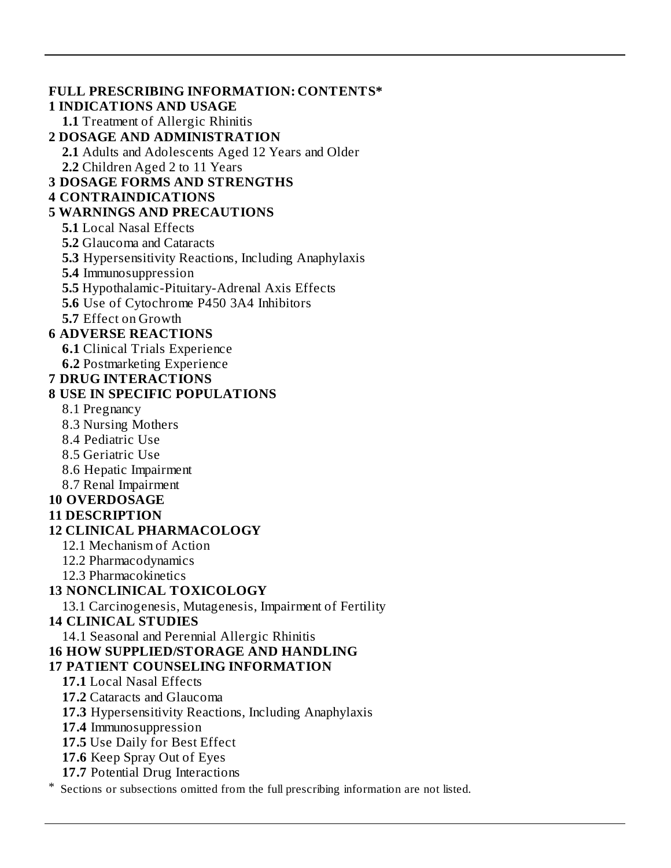#### **FULL PRESCRIBING INFORMATION: CONTENTS\* 1 INDICATIONS AND USAGE 1.1** Treatment of Allergic Rhinitis **2 DOSAGE AND ADMINISTRATION 2.1** Adults and Adolescents Aged 12 Years and Older **2.2** Children Aged 2 to 11 Years **3 DOSAGE FORMS AND STRENGTHS 4 CONTRAINDICATIONS 5 WARNINGS AND PRECAUTIONS 5.1** Local Nasal Effects **5.2** Glaucoma and Cataracts **5.3** Hypersensitivity Reactions, Including Anaphylaxis **5.4** Immunosuppression **5.5** Hypothalamic-Pituitary-Adrenal Axis Effects **5.6** Use of Cytochrome P450 3A4 Inhibitors **5.7** Effect on Growth **6 ADVERSE REACTIONS 6.1** Clinical Trials Experience **6.2** Postmarketing Experience **7 DRUG INTERACTIONS 8 USE IN SPECIFIC POPULATIONS** 8.1 Pregnancy 8.3 Nursing Mothers 8.4 Pediatric Use 8.5 Geriatric Use 8.6 Hepatic Impairment 8.7 Renal Impairment **10 OVERDOSAGE 11 DESCRIPTION 12 CLINICAL PHARMACOLOGY** 12.1 Mechanism of Action 12.2 Pharmacodynamics 12.3 Pharmacokinetics **13 NONCLINICAL TOXICOLOGY** 13.1 Carcinogenesis, Mutagenesis, Impairment of Fertility **14 CLINICAL STUDIES** 14.1 Seasonal and Perennial Allergic Rhinitis **16 HOW SUPPLIED/STORAGE AND HANDLING 17 PATIENT COUNSELING INFORMATION 17.1** Local Nasal Effects **17.2** Cataracts and Glaucoma **17.3** Hypersensitivity Reactions, Including Anaphylaxis **17.4** Immunosuppression **17.5** Use Daily for Best Effect **17.6** Keep Spray Out of Eyes **17.7** Potential Drug Interactions Sections or subsections omitted from the full prescribing information are not listed.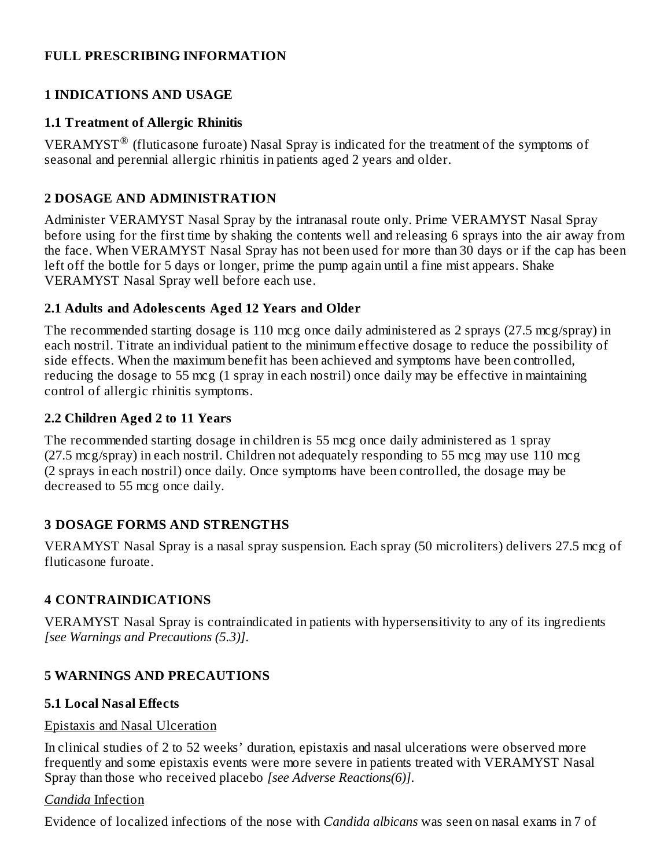#### **FULL PRESCRIBING INFORMATION**

#### **1 INDICATIONS AND USAGE**

#### **1.1 Treatment of Allergic Rhinitis**

VERAMYST<sup>®</sup> (fluticasone furoate) Nasal Spray is indicated for the treatment of the symptoms of seasonal and perennial allergic rhinitis in patients aged 2 years and older.

### **2 DOSAGE AND ADMINISTRATION**

Administer VERAMYST Nasal Spray by the intranasal route only. Prime VERAMYST Nasal Spray before using for the first time by shaking the contents well and releasing 6 sprays into the air away from the face. When VERAMYST Nasal Spray has not been used for more than 30 days or if the cap has been left off the bottle for 5 days or longer, prime the pump again until a fine mist appears. Shake VERAMYST Nasal Spray well before each use.

#### **2.1 Adults and Adoles cents Aged 12 Years and Older**

The recommended starting dosage is 110 mcg once daily administered as 2 sprays (27.5 mcg/spray) in each nostril. Titrate an individual patient to the minimum effective dosage to reduce the possibility of side effects. When the maximum benefit has been achieved and symptoms have been controlled, reducing the dosage to 55 mcg (1 spray in each nostril) once daily may be effective in maintaining control of allergic rhinitis symptoms.

#### **2.2 Children Aged 2 to 11 Years**

The recommended starting dosage in children is 55 mcg once daily administered as 1 spray (27.5 mcg/spray) in each nostril. Children not adequately responding to 55 mcg may use 110 mcg (2 sprays in each nostril) once daily. Once symptoms have been controlled, the dosage may be decreased to 55 mcg once daily.

#### **3 DOSAGE FORMS AND STRENGTHS**

VERAMYST Nasal Spray is a nasal spray suspension. Each spray (50 microliters) delivers 27.5 mcg of fluticasone furoate.

#### **4 CONTRAINDICATIONS**

VERAMYST Nasal Spray is contraindicated in patients with hypersensitivity to any of its ingredients *[see Warnings and Precautions (5.3)]*.

#### **5 WARNINGS AND PRECAUTIONS**

#### **5.1 Local Nasal Effects**

#### Epistaxis and Nasal Ulceration

In clinical studies of 2 to 52 weeks' duration, epistaxis and nasal ulcerations were observed more frequently and some epistaxis events were more severe in patients treated with VERAMYST Nasal Spray than those who received placebo *[see Adverse Reactions(6)]*.

#### *Candida* Infection

Evidence of localized infections of the nose with *Candida albicans* was seen on nasal exams in 7 of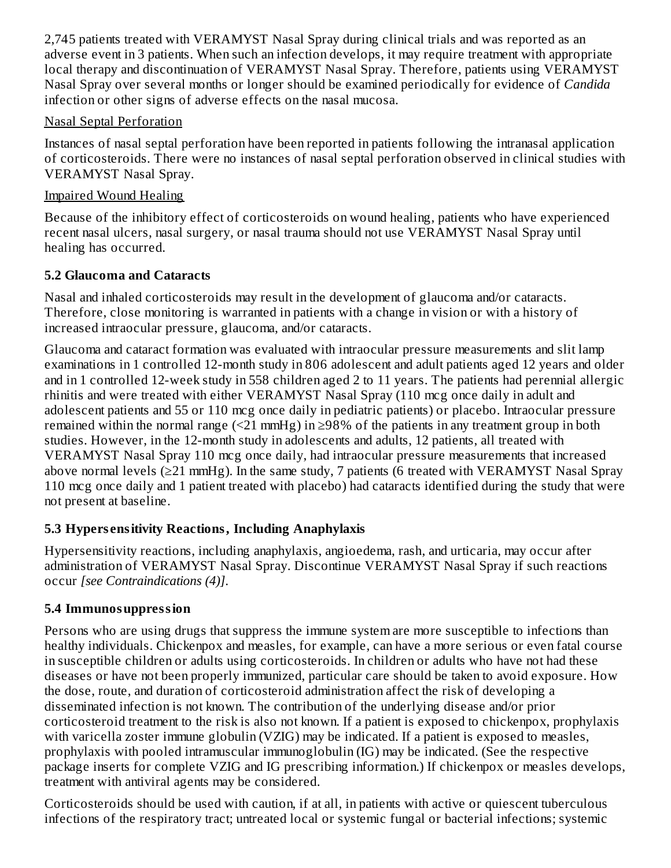2,745 patients treated with VERAMYST Nasal Spray during clinical trials and was reported as an adverse event in 3 patients. When such an infection develops, it may require treatment with appropriate local therapy and discontinuation of VERAMYST Nasal Spray. Therefore, patients using VERAMYST Nasal Spray over several months or longer should be examined periodically for evidence of *Candida* infection or other signs of adverse effects on the nasal mucosa.

### Nasal Septal Perforation

Instances of nasal septal perforation have been reported in patients following the intranasal application of corticosteroids. There were no instances of nasal septal perforation observed in clinical studies with VERAMYST Nasal Spray.

### Impaired Wound Healing

Because of the inhibitory effect of corticosteroids on wound healing, patients who have experienced recent nasal ulcers, nasal surgery, or nasal trauma should not use VERAMYST Nasal Spray until healing has occurred.

### **5.2 Glaucoma and Cataracts**

Nasal and inhaled corticosteroids may result in the development of glaucoma and/or cataracts. Therefore, close monitoring is warranted in patients with a change in vision or with a history of increased intraocular pressure, glaucoma, and/or cataracts.

Glaucoma and cataract formation was evaluated with intraocular pressure measurements and slit lamp examinations in 1 controlled 12-month study in 806 adolescent and adult patients aged 12 years and older and in 1 controlled 12-week study in 558 children aged 2 to 11 years. The patients had perennial allergic rhinitis and were treated with either VERAMYST Nasal Spray (110 mcg once daily in adult and adolescent patients and 55 or 110 mcg once daily in pediatric patients) or placebo. Intraocular pressure remained within the normal range  $(\leq 21 \text{ mmHg})$  in  $\geq 98\%$  of the patients in any treatment group in both studies. However, in the 12-month study in adolescents and adults, 12 patients, all treated with VERAMYST Nasal Spray 110 mcg once daily, had intraocular pressure measurements that increased above normal levels ( $\geq$ 21 mmHg). In the same study, 7 patients (6 treated with VERAMYST Nasal Spray 110 mcg once daily and 1 patient treated with placebo) had cataracts identified during the study that were not present at baseline.

# **5.3 Hypers ensitivity Reactions, Including Anaphylaxis**

Hypersensitivity reactions, including anaphylaxis, angioedema, rash, and urticaria, may occur after administration of VERAMYST Nasal Spray. Discontinue VERAMYST Nasal Spray if such reactions occur *[see Contraindications (4)]*.

# **5.4 Immunosuppression**

Persons who are using drugs that suppress the immune system are more susceptible to infections than healthy individuals. Chickenpox and measles, for example, can have a more serious or even fatal course in susceptible children or adults using corticosteroids. In children or adults who have not had these diseases or have not been properly immunized, particular care should be taken to avoid exposure. How the dose, route, and duration of corticosteroid administration affect the risk of developing a disseminated infection is not known. The contribution of the underlying disease and/or prior corticosteroid treatment to the risk is also not known. If a patient is exposed to chickenpox, prophylaxis with varicella zoster immune globulin (VZIG) may be indicated. If a patient is exposed to measles, prophylaxis with pooled intramuscular immunoglobulin (IG) may be indicated. (See the respective package inserts for complete VZIG and IG prescribing information.) If chickenpox or measles develops, treatment with antiviral agents may be considered.

Corticosteroids should be used with caution, if at all, in patients with active or quiescent tuberculous infections of the respiratory tract; untreated local or systemic fungal or bacterial infections; systemic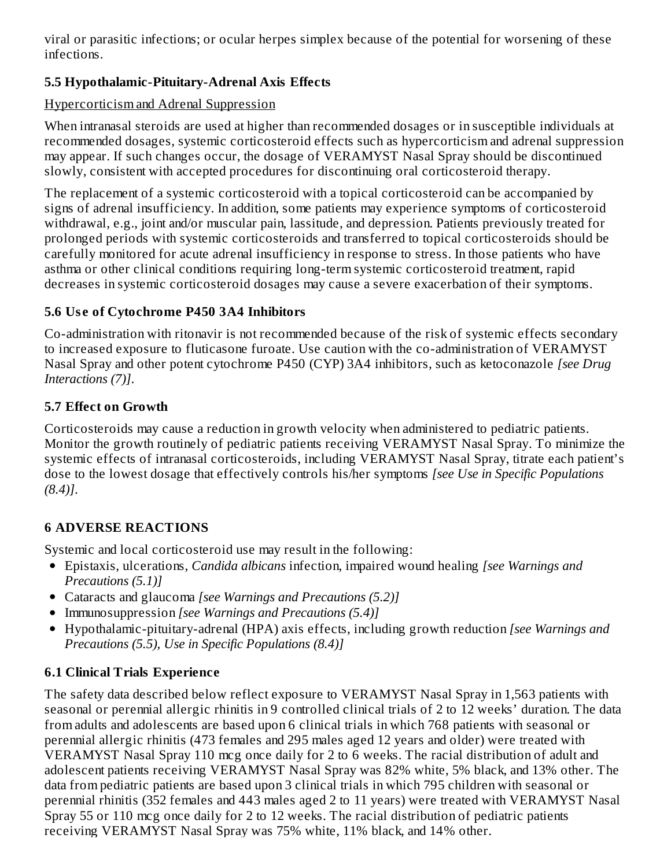viral or parasitic infections; or ocular herpes simplex because of the potential for worsening of these infections.

# **5.5 Hypothalamic-Pituitary-Adrenal Axis Effects**

### Hypercorticism and Adrenal Suppression

When intranasal steroids are used at higher than recommended dosages or in susceptible individuals at recommended dosages, systemic corticosteroid effects such as hypercorticism and adrenal suppression may appear. If such changes occur, the dosage of VERAMYST Nasal Spray should be discontinued slowly, consistent with accepted procedures for discontinuing oral corticosteroid therapy.

The replacement of a systemic corticosteroid with a topical corticosteroid can be accompanied by signs of adrenal insufficiency. In addition, some patients may experience symptoms of corticosteroid withdrawal, e.g., joint and/or muscular pain, lassitude, and depression. Patients previously treated for prolonged periods with systemic corticosteroids and transferred to topical corticosteroids should be carefully monitored for acute adrenal insufficiency in response to stress. In those patients who have asthma or other clinical conditions requiring long-term systemic corticosteroid treatment, rapid decreases in systemic corticosteroid dosages may cause a severe exacerbation of their symptoms.

### **5.6 Us e of Cytochrome P450 3A4 Inhibitors**

Co-administration with ritonavir is not recommended because of the risk of systemic effects secondary to increased exposure to fluticasone furoate. Use caution with the co-administration of VERAMYST Nasal Spray and other potent cytochrome P450 (CYP) 3A4 inhibitors, such as ketoconazole *[see Drug Interactions (7)]*.

### **5.7 Effect on Growth**

Corticosteroids may cause a reduction in growth velocity when administered to pediatric patients. Monitor the growth routinely of pediatric patients receiving VERAMYST Nasal Spray. To minimize the systemic effects of intranasal corticosteroids, including VERAMYST Nasal Spray, titrate each patient's dose to the lowest dosage that effectively controls his/her symptoms *[see Use in Specific Populations (8.4)]*.

### **6 ADVERSE REACTIONS**

Systemic and local corticosteroid use may result in the following:

- Epistaxis, ulcerations, *Candida albicans* infection, impaired wound healing *[see Warnings and Precautions (5.1)]*
- Cataracts and glaucoma *[see Warnings and Precautions (5.2)]*
- Immunosuppression *[see Warnings and Precautions (5.4)]*
- Hypothalamic-pituitary-adrenal (HPA) axis effects, including growth reduction *[see Warnings and Precautions (5.5), Use in Specific Populations (8.4)]*

### **6.1 Clinical Trials Experience**

The safety data described below reflect exposure to VERAMYST Nasal Spray in 1,563 patients with seasonal or perennial allergic rhinitis in 9 controlled clinical trials of 2 to 12 weeks' duration. The data from adults and adolescents are based upon 6 clinical trials in which 768 patients with seasonal or perennial allergic rhinitis (473 females and 295 males aged 12 years and older) were treated with VERAMYST Nasal Spray 110 mcg once daily for 2 to 6 weeks. The racial distribution of adult and adolescent patients receiving VERAMYST Nasal Spray was 82% white, 5% black, and 13% other. The data from pediatric patients are based upon 3 clinical trials in which 795 children with seasonal or perennial rhinitis (352 females and 443 males aged 2 to 11 years) were treated with VERAMYST Nasal Spray 55 or 110 mcg once daily for 2 to 12 weeks. The racial distribution of pediatric patients receiving VERAMYST Nasal Spray was 75% white, 11% black, and 14% other.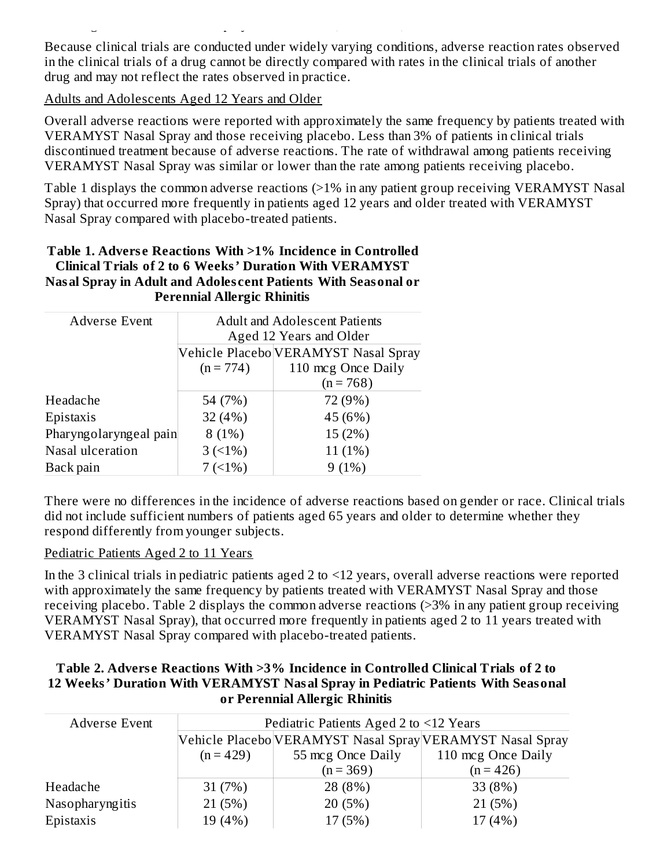Because clinical trials are conducted under widely varying conditions, adverse reaction rates observed in the clinical trials of a drug cannot be directly compared with rates in the clinical trials of another drug and may not reflect the rates observed in practice.

receiving VERAMYST Nasal Spray was 75% white, 11% black, and 14% other.

Adults and Adolescents Aged 12 Years and Older

Overall adverse reactions were reported with approximately the same frequency by patients treated with VERAMYST Nasal Spray and those receiving placebo. Less than 3% of patients in clinical trials discontinued treatment because of adverse reactions. The rate of withdrawal among patients receiving VERAMYST Nasal Spray was similar or lower than the rate among patients receiving placebo.

Table 1 displays the common adverse reactions (>1% in any patient group receiving VERAMYST Nasal Spray) that occurred more frequently in patients aged 12 years and older treated with VERAMYST Nasal Spray compared with placebo-treated patients.

#### **Table 1. Advers e Reactions With >1% Incidence in Controlled Clinical Trials of 2 to 6 Weeks' Duration With VERAMYST Nasal Spray in Adult and Adoles cent Patients With Seasonal or Perennial Allergic Rhinitis**

| <b>Adverse Event</b>   | <b>Adult and Adolescent Patients</b> |                                      |  |  |
|------------------------|--------------------------------------|--------------------------------------|--|--|
|                        |                                      | Aged 12 Years and Older              |  |  |
|                        |                                      | Vehicle Placebo VERAMYST Nasal Spray |  |  |
|                        | $(n = 774)$                          | 110 mcg Once Daily                   |  |  |
|                        |                                      | $(n = 768)$                          |  |  |
| Headache               | 54 (7%)                              | 72 (9%)                              |  |  |
| Epistaxis              | 32(4%)                               | 45 (6%)                              |  |  |
| Pharyngolaryngeal pain | 8(1%)                                | 15 (2%)                              |  |  |
| Nasal ulceration       | $3(1\%)$                             | $11(1\%)$                            |  |  |
| Back pain              | 7(1%)                                | 9(1%)                                |  |  |

There were no differences in the incidence of adverse reactions based on gender or race. Clinical trials did not include sufficient numbers of patients aged 65 years and older to determine whether they respond differently from younger subjects.

#### Pediatric Patients Aged 2 to 11 Years

In the 3 clinical trials in pediatric patients aged 2 to <12 years, overall adverse reactions were reported with approximately the same frequency by patients treated with VERAMYST Nasal Spray and those receiving placebo. Table 2 displays the common adverse reactions (>3% in any patient group receiving VERAMYST Nasal Spray), that occurred more frequently in patients aged 2 to 11 years treated with VERAMYST Nasal Spray compared with placebo-treated patients.

#### **Table 2. Advers e Reactions With >3% Incidence in Controlled Clinical Trials of 2 to 12 Weeks' Duration With VERAMYST Nasal Spray in Pediatric Patients With Seasonal or Perennial Allergic Rhinitis**

| Adverse Event   | Pediatric Patients Aged 2 to <12 Years                    |                   |                    |  |  |
|-----------------|-----------------------------------------------------------|-------------------|--------------------|--|--|
|                 | Vehicle Placebo VERAMYST Nasal Spray VERAMYST Nasal Spray |                   |                    |  |  |
|                 | $(n = 429)$                                               | 55 mcg Once Daily | 110 mcg Once Daily |  |  |
|                 |                                                           | $(n = 369)$       | $(n = 426)$        |  |  |
| Headache        | 31(7%)                                                    | 28 (8%)           | 33 (8%)            |  |  |
| Nasopharyngitis | 21 (5%)                                                   | 20(5%)            | 21(5%)             |  |  |
| Epistaxis       | 19 (4%)                                                   | 17 (5%)           | 17(4%)             |  |  |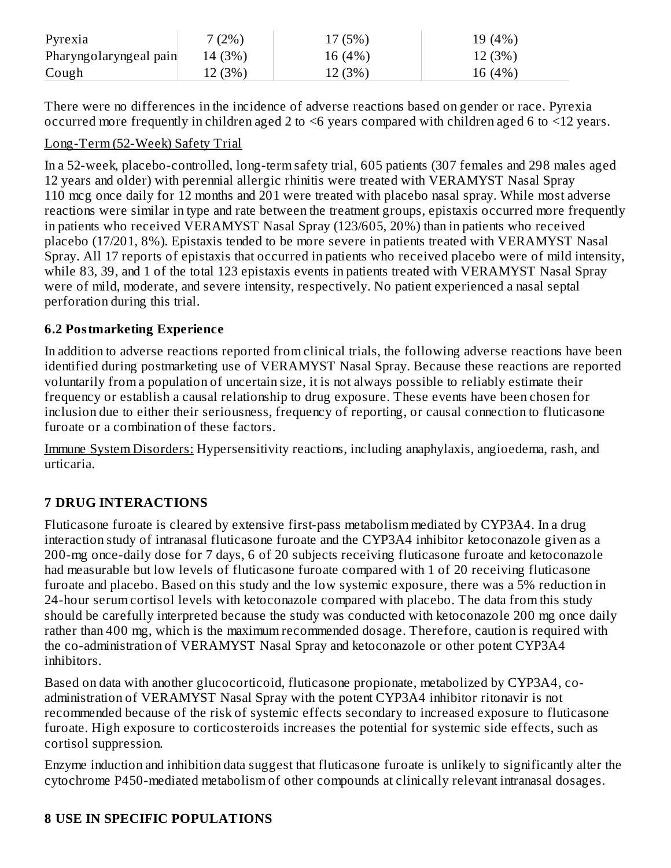| Pyrexia                | $(2\%)$ | 17(5%)  | 19 (4%) |
|------------------------|---------|---------|---------|
| Pharyngolaryngeal pain | 14 (3%) | 16(4%)  | 12 (3%) |
| Cough                  | 12 (3%) | 12 (3%) | 16 (4%) |

There were no differences in the incidence of adverse reactions based on gender or race. Pyrexia occurred more frequently in children aged 2 to <6 years compared with children aged 6 to <12 years.

### Long-Term (52-Week) Safety Trial

In a 52-week, placebo-controlled, long-term safety trial, 605 patients (307 females and 298 males aged 12 years and older) with perennial allergic rhinitis were treated with VERAMYST Nasal Spray 110 mcg once daily for 12 months and 201 were treated with placebo nasal spray. While most adverse reactions were similar in type and rate between the treatment groups, epistaxis occurred more frequently in patients who received VERAMYST Nasal Spray (123/605, 20%) than in patients who received placebo (17/201, 8%). Epistaxis tended to be more severe in patients treated with VERAMYST Nasal Spray. All 17 reports of epistaxis that occurred in patients who received placebo were of mild intensity, while 83, 39, and 1 of the total 123 epistaxis events in patients treated with VERAMYST Nasal Spray were of mild, moderate, and severe intensity, respectively. No patient experienced a nasal septal perforation during this trial.

### **6.2 Postmarketing Experience**

In addition to adverse reactions reported from clinical trials, the following adverse reactions have been identified during postmarketing use of VERAMYST Nasal Spray. Because these reactions are reported voluntarily from a population of uncertain size, it is not always possible to reliably estimate their frequency or establish a causal relationship to drug exposure. These events have been chosen for inclusion due to either their seriousness, frequency of reporting, or causal connection to fluticasone furoate or a combination of these factors.

Immune System Disorders: Hypersensitivity reactions, including anaphylaxis, angioedema, rash, and urticaria.

# **7 DRUG INTERACTIONS**

Fluticasone furoate is cleared by extensive first-pass metabolism mediated by CYP3A4. In a drug interaction study of intranasal fluticasone furoate and the CYP3A4 inhibitor ketoconazole given as a 200-mg once-daily dose for 7 days, 6 of 20 subjects receiving fluticasone furoate and ketoconazole had measurable but low levels of fluticasone furoate compared with 1 of 20 receiving fluticasone furoate and placebo. Based on this study and the low systemic exposure, there was a 5% reduction in 24-hour serum cortisol levels with ketoconazole compared with placebo. The data from this study should be carefully interpreted because the study was conducted with ketoconazole 200 mg once daily rather than 400 mg, which is the maximum recommended dosage. Therefore, caution is required with the co-administration of VERAMYST Nasal Spray and ketoconazole or other potent CYP3A4 inhibitors.

Based on data with another glucocorticoid, fluticasone propionate, metabolized by CYP3A4, coadministration of VERAMYST Nasal Spray with the potent CYP3A4 inhibitor ritonavir is not recommended because of the risk of systemic effects secondary to increased exposure to fluticasone furoate. High exposure to corticosteroids increases the potential for systemic side effects, such as cortisol suppression.

Enzyme induction and inhibition data suggest that fluticasone furoate is unlikely to significantly alter the cytochrome P450-mediated metabolism of other compounds at clinically relevant intranasal dosages.

### **8 USE IN SPECIFIC POPULATIONS**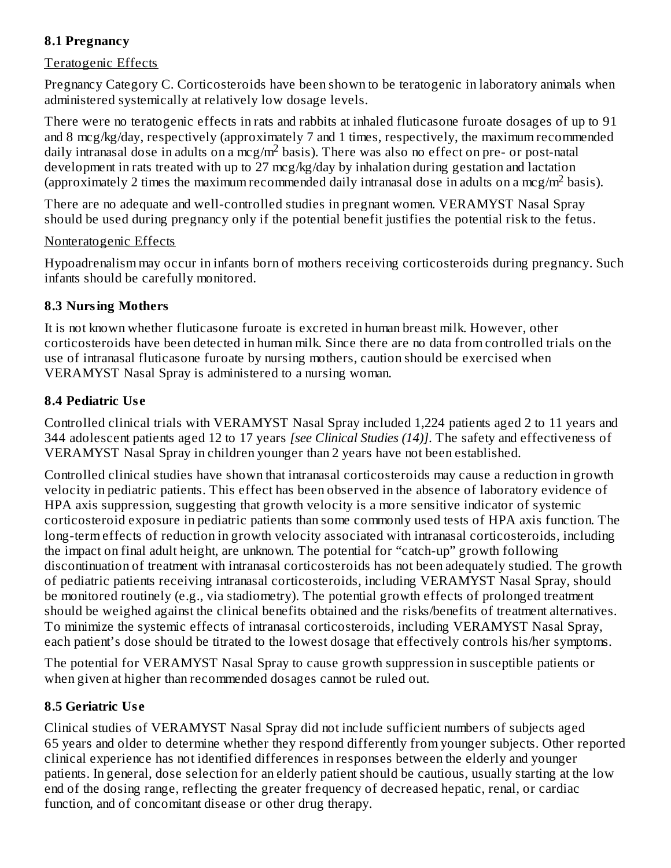### **8.1 Pregnancy**

#### Teratogenic Effects

Pregnancy Category C. Corticosteroids have been shown to be teratogenic in laboratory animals when administered systemically at relatively low dosage levels.

There were no teratogenic effects in rats and rabbits at inhaled fluticasone furoate dosages of up to 91 and 8 mcg/kg/day, respectively (approximately 7 and 1 times, respectively, the maximum recommended daily intranasal dose in adults on a mcg/m<sup>2</sup> basis). There was also no effect on pre- or post-natal development in rats treated with up to 27 mcg/kg/day by inhalation during gestation and lactation (approximately 2 times the maximum recommended daily intranasal dose in adults on a mcg/m<sup>2</sup> basis).

There are no adequate and well-controlled studies in pregnant women. VERAMYST Nasal Spray should be used during pregnancy only if the potential benefit justifies the potential risk to the fetus.

#### Nonteratogenic Effects

Hypoadrenalism may occur in infants born of mothers receiving corticosteroids during pregnancy. Such infants should be carefully monitored.

#### **8.3 Nursing Mothers**

It is not known whether fluticasone furoate is excreted in human breast milk. However, other corticosteroids have been detected in human milk. Since there are no data from controlled trials on the use of intranasal fluticasone furoate by nursing mothers, caution should be exercised when VERAMYST Nasal Spray is administered to a nursing woman.

### **8.4 Pediatric Us e**

Controlled clinical trials with VERAMYST Nasal Spray included 1,224 patients aged 2 to 11 years and 344 adolescent patients aged 12 to 17 years *[see Clinical Studies (14)]*. The safety and effectiveness of VERAMYST Nasal Spray in children younger than 2 years have not been established.

Controlled clinical studies have shown that intranasal corticosteroids may cause a reduction in growth velocity in pediatric patients. This effect has been observed in the absence of laboratory evidence of HPA axis suppression, suggesting that growth velocity is a more sensitive indicator of systemic corticosteroid exposure in pediatric patients than some commonly used tests of HPA axis function. The long-term effects of reduction in growth velocity associated with intranasal corticosteroids, including the impact on final adult height, are unknown. The potential for "catch-up" growth following discontinuation of treatment with intranasal corticosteroids has not been adequately studied. The growth of pediatric patients receiving intranasal corticosteroids, including VERAMYST Nasal Spray, should be monitored routinely (e.g., via stadiometry). The potential growth effects of prolonged treatment should be weighed against the clinical benefits obtained and the risks/benefits of treatment alternatives. To minimize the systemic effects of intranasal corticosteroids, including VERAMYST Nasal Spray, each patient's dose should be titrated to the lowest dosage that effectively controls his/her symptoms.

The potential for VERAMYST Nasal Spray to cause growth suppression in susceptible patients or when given at higher than recommended dosages cannot be ruled out.

### **8.5 Geriatric Us e**

Clinical studies of VERAMYST Nasal Spray did not include sufficient numbers of subjects aged 65 years and older to determine whether they respond differently from younger subjects. Other reported clinical experience has not identified differences in responses between the elderly and younger patients. In general, dose selection for an elderly patient should be cautious, usually starting at the low end of the dosing range, reflecting the greater frequency of decreased hepatic, renal, or cardiac function, and of concomitant disease or other drug therapy.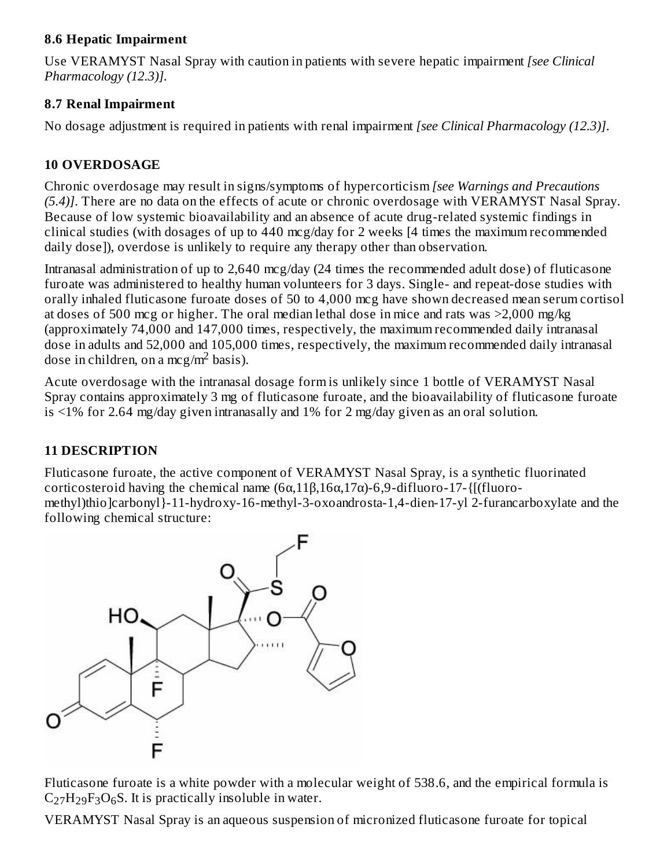### **8.6 Hepatic Impairment**

Use VERAMYST Nasal Spray with caution in patients with severe hepatic impairment *[see Clinical Pharmacology (12.3)].*

### **8.7 Renal Impairment**

No dosage adjustment is required in patients with renal impairment *[see Clinical Pharmacology (12.3)]*.

### **10 OVERDOSAGE**

Chronic overdosage may result in signs/symptoms of hypercorticism *[see Warnings and Precautions (5.4)]*. There are no data on the effects of acute or chronic overdosage with VERAMYST Nasal Spray. Because of low systemic bioavailability and an absence of acute drug-related systemic findings in clinical studies (with dosages of up to 440 mcg/day for 2 weeks [4 times the maximum recommended daily dose]), overdose is unlikely to require any therapy other than observation.

Intranasal administration of up to 2,640 mcg/day (24 times the recommended adult dose) of fluticasone furoate was administered to healthy human volunteers for 3 days. Single- and repeat-dose studies with orally inhaled fluticasone furoate doses of 50 to 4,000 mcg have shown decreased mean serum cortisol at doses of 500 mcg or higher. The oral median lethal dose in mice and rats was >2,000 mg/kg (approximately 74,000 and 147,000 times, respectively, the maximum recommended daily intranasal dose in adults and 52,000 and 105,000 times, respectively, the maximum recommended daily intranasal dose in children, on a mcg/m<sup>2</sup> basis).

Acute overdosage with the intranasal dosage form is unlikely since 1 bottle of VERAMYST Nasal Spray contains approximately 3 mg of fluticasone furoate, and the bioavailability of fluticasone furoate is <1% for 2.64 mg/day given intranasally and 1% for 2 mg/day given as an oral solution.

# **11 DESCRIPTION**

Fluticasone furoate, the active component of VERAMYST Nasal Spray, is a synthetic fluorinated corticosteroid having the chemical name (6α,11β,16α,17α)-6,9-difluoro-17-{[(fluoromethyl)thio]carbonyl}-11-hydroxy-16-methyl-3-oxoandrosta-1,4-dien-17-yl 2-furancarboxylate and the following chemical structure:



Fluticasone furoate is a white powder with a molecular weight of 538.6, and the empirical formula is  $C_{27}H_{29}F_3O_6S$ . It is practically insoluble in water.

VERAMYST Nasal Spray is an aqueous suspension of micronized fluticasone furoate for topical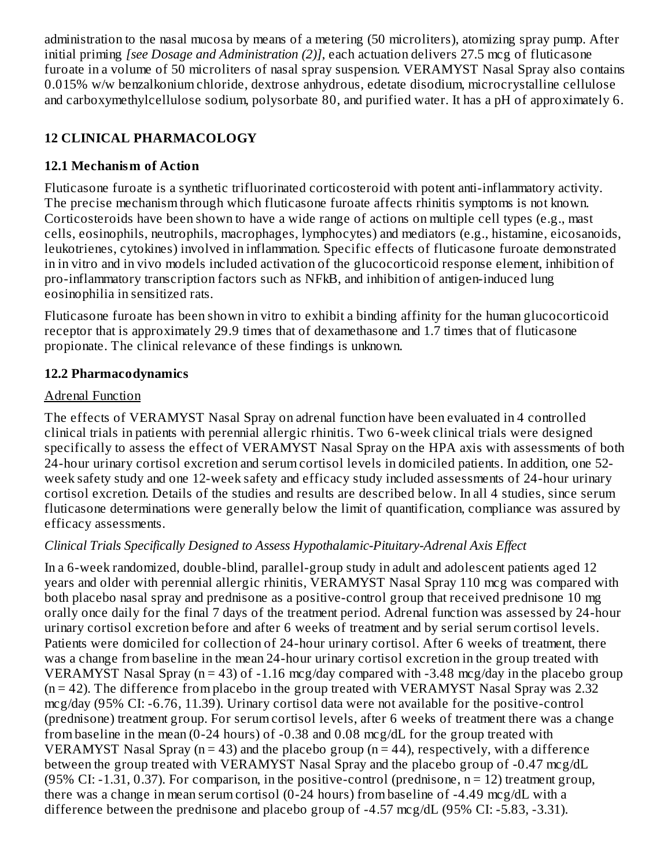administration to the nasal mucosa by means of a metering (50 microliters), atomizing spray pump. After initial priming *[see Dosage and Administration (2)]*, each actuation delivers 27.5 mcg of fluticasone furoate in a volume of 50 microliters of nasal spray suspension. VERAMYST Nasal Spray also contains 0.015% w/w benzalkonium chloride, dextrose anhydrous, edetate disodium, microcrystalline cellulose and carboxymethylcellulose sodium, polysorbate 80, and purified water. It has a pH of approximately 6.

# **12 CLINICAL PHARMACOLOGY**

### **12.1 Mechanism of Action**

Fluticasone furoate is a synthetic trifluorinated corticosteroid with potent anti-inflammatory activity. The precise mechanism through which fluticasone furoate affects rhinitis symptoms is not known. Corticosteroids have been shown to have a wide range of actions on multiple cell types (e.g., mast cells, eosinophils, neutrophils, macrophages, lymphocytes) and mediators (e.g., histamine, eicosanoids, leukotrienes, cytokines) involved in inflammation. Specific effects of fluticasone furoate demonstrated in in vitro and in vivo models included activation of the glucocorticoid response element, inhibition of pro-inflammatory transcription factors such as NFkB, and inhibition of antigen-induced lung eosinophilia in sensitized rats.

Fluticasone furoate has been shown in vitro to exhibit a binding affinity for the human glucocorticoid receptor that is approximately 29.9 times that of dexamethasone and 1.7 times that of fluticasone propionate. The clinical relevance of these findings is unknown.

### **12.2 Pharmacodynamics**

### Adrenal Function

The effects of VERAMYST Nasal Spray on adrenal function have been evaluated in 4 controlled clinical trials in patients with perennial allergic rhinitis. Two 6-week clinical trials were designed specifically to assess the effect of VERAMYST Nasal Spray on the HPA axis with assessments of both 24-hour urinary cortisol excretion and serum cortisol levels in domiciled patients. In addition, one 52 week safety study and one 12-week safety and efficacy study included assessments of 24-hour urinary cortisol excretion. Details of the studies and results are described below. In all 4 studies, since serum fluticasone determinations were generally below the limit of quantification, compliance was assured by efficacy assessments.

### *Clinical Trials Specifically Designed to Assess Hypothalamic-Pituitary-Adrenal Axis Effect*

In a 6-week randomized, double-blind, parallel-group study in adult and adolescent patients aged 12 years and older with perennial allergic rhinitis, VERAMYST Nasal Spray 110 mcg was compared with both placebo nasal spray and prednisone as a positive-control group that received prednisone 10 mg orally once daily for the final 7 days of the treatment period. Adrenal function was assessed by 24-hour urinary cortisol excretion before and after 6 weeks of treatment and by serial serum cortisol levels. Patients were domiciled for collection of 24-hour urinary cortisol. After 6 weeks of treatment, there was a change from baseline in the mean 24-hour urinary cortisol excretion in the group treated with VERAMYST Nasal Spray (n = 43) of -1.16 mcg/day compared with -3.48 mcg/day in the placebo group  $(n = 42)$ . The difference from placebo in the group treated with VERAMYST Nasal Spray was 2.32 mcg/day (95% CI: -6.76, 11.39). Urinary cortisol data were not available for the positive-control (prednisone) treatment group. For serum cortisol levels, after 6 weeks of treatment there was a change from baseline in the mean (0-24 hours) of -0.38 and 0.08 mcg/dL for the group treated with VERAMYST Nasal Spray ( $n = 43$ ) and the placebo group ( $n = 44$ ), respectively, with a difference between the group treated with VERAMYST Nasal Spray and the placebo group of -0.47 mcg/dL (95% CI: -1.31, 0.37). For comparison, in the positive-control (prednisone,  $n = 12$ ) treatment group, there was a change in mean serum cortisol (0-24 hours) from baseline of -4.49 mcg/dL with a difference between the prednisone and placebo group of -4.57 mcg/dL (95% CI: -5.83, -3.31).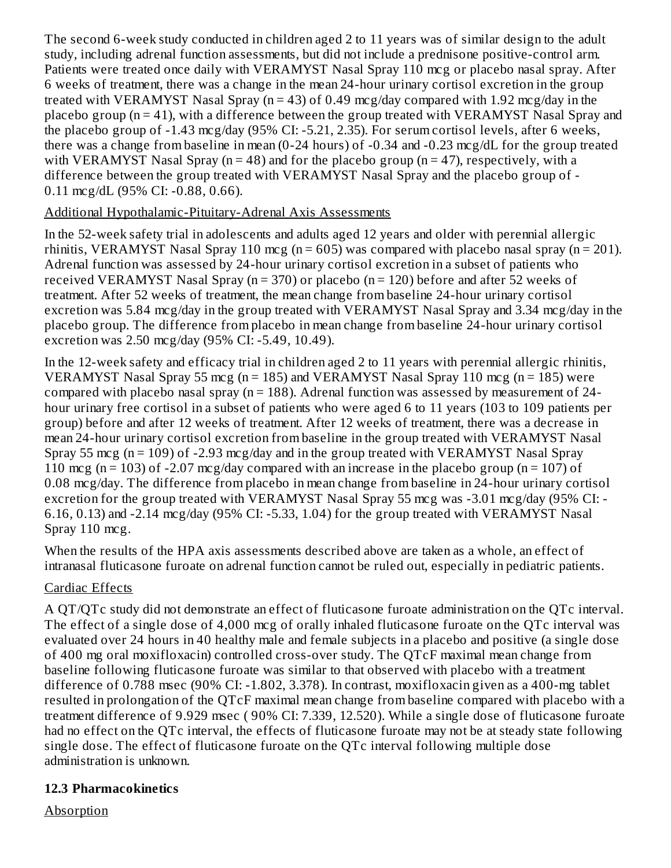The second 6-week study conducted in children aged 2 to 11 years was of similar design to the adult study, including adrenal function assessments, but did not include a prednisone positive-control arm. Patients were treated once daily with VERAMYST Nasal Spray 110 mcg or placebo nasal spray. After 6 weeks of treatment, there was a change in the mean 24-hour urinary cortisol excretion in the group treated with VERAMYST Nasal Spray ( $n = 43$ ) of 0.49 mcg/day compared with 1.92 mcg/day in the placebo group (n = 41), with a difference between the group treated with VERAMYST Nasal Spray and the placebo group of -1.43 mcg/day (95% CI: -5.21, 2.35). For serum cortisol levels, after 6 weeks, there was a change from baseline in mean (0-24 hours) of -0.34 and -0.23 mcg/dL for the group treated with VERAMYST Nasal Spray ( $n = 48$ ) and for the placebo group ( $n = 47$ ), respectively, with a difference between the group treated with VERAMYST Nasal Spray and the placebo group of - 0.11 mcg/dL (95% CI: -0.88, 0.66).

### Additional Hypothalamic-Pituitary-Adrenal Axis Assessments

In the 52-week safety trial in adolescents and adults aged 12 years and older with perennial allergic rhinitis, VERAMYST Nasal Spray 110 mcg ( $n = 605$ ) was compared with placebo nasal spray ( $n = 201$ ). Adrenal function was assessed by 24-hour urinary cortisol excretion in a subset of patients who received VERAMYST Nasal Spray ( $n = 370$ ) or placebo ( $n = 120$ ) before and after 52 weeks of treatment. After 52 weeks of treatment, the mean change from baseline 24-hour urinary cortisol excretion was 5.84 mcg/day in the group treated with VERAMYST Nasal Spray and 3.34 mcg/day in the placebo group. The difference from placebo in mean change from baseline 24-hour urinary cortisol excretion was 2.50 mcg/day (95% CI: -5.49, 10.49).

In the 12-week safety and efficacy trial in children aged 2 to 11 years with perennial allergic rhinitis, VERAMYST Nasal Spray 55 mcg ( $n = 185$ ) and VERAMYST Nasal Spray 110 mcg ( $n = 185$ ) were compared with placebo nasal spray ( $n = 188$ ). Adrenal function was assessed by measurement of 24hour urinary free cortisol in a subset of patients who were aged 6 to 11 years (103 to 109 patients per group) before and after 12 weeks of treatment. After 12 weeks of treatment, there was a decrease in mean 24-hour urinary cortisol excretion from baseline in the group treated with VERAMYST Nasal Spray 55 mcg ( $n = 109$ ) of -2.93 mcg/day and in the group treated with VERAMYST Nasal Spray 110 mcg (n = 103) of -2.07 mcg/day compared with an increase in the placebo group (n = 107) of 0.08 mcg/day. The difference from placebo in mean change from baseline in 24-hour urinary cortisol excretion for the group treated with VERAMYST Nasal Spray 55 mcg was -3.01 mcg/day (95% CI: -6.16, 0.13) and -2.14 mcg/day (95% CI: -5.33, 1.04) for the group treated with VERAMYST Nasal Spray 110 mcg.

When the results of the HPA axis assessments described above are taken as a whole, an effect of intranasal fluticasone furoate on adrenal function cannot be ruled out, especially in pediatric patients.

#### Cardiac Effects

A QT/QTc study did not demonstrate an effect of fluticasone furoate administration on the QTc interval. The effect of a single dose of 4,000 mcg of orally inhaled fluticasone furoate on the QTc interval was evaluated over 24 hours in 40 healthy male and female subjects in a placebo and positive (a single dose of 400 mg oral moxifloxacin) controlled cross-over study. The QTcF maximal mean change from baseline following fluticasone furoate was similar to that observed with placebo with a treatment difference of 0.788 msec (90% CI: -1.802, 3.378). In contrast, moxifloxacin given as a 400-mg tablet resulted in prolongation of the QTcF maximal mean change from baseline compared with placebo with a treatment difference of 9.929 msec ( 90% CI: 7.339, 12.520). While a single dose of fluticasone furoate had no effect on the QTc interval, the effects of fluticasone furoate may not be at steady state following single dose. The effect of fluticasone furoate on the QTc interval following multiple dose administration is unknown.

### **12.3 Pharmacokinetics**

Absorption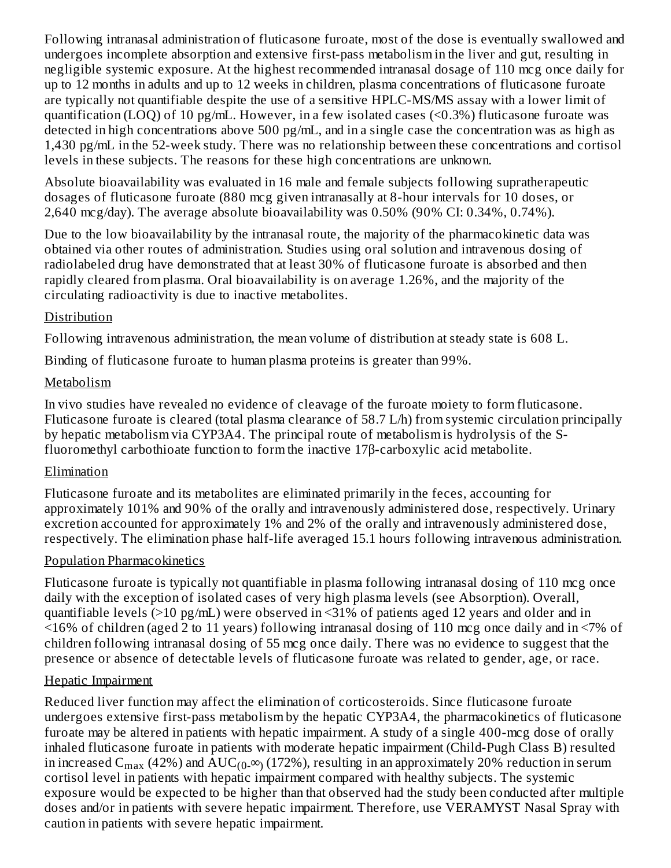Following intranasal administration of fluticasone furoate, most of the dose is eventually swallowed and undergoes incomplete absorption and extensive first-pass metabolism in the liver and gut, resulting in negligible systemic exposure. At the highest recommended intranasal dosage of 110 mcg once daily for up to 12 months in adults and up to 12 weeks in children, plasma concentrations of fluticasone furoate are typically not quantifiable despite the use of a sensitive HPLC-MS/MS assay with a lower limit of quantification (LOQ) of 10 pg/mL. However, in a few isolated cases (<0.3%) fluticasone furoate was detected in high concentrations above 500 pg/mL, and in a single case the concentration was as high as 1,430 pg/mL in the 52-week study. There was no relationship between these concentrations and cortisol levels in these subjects. The reasons for these high concentrations are unknown.

Absolute bioavailability was evaluated in 16 male and female subjects following supratherapeutic dosages of fluticasone furoate (880 mcg given intranasally at 8-hour intervals for 10 doses, or 2,640 mcg/day). The average absolute bioavailability was 0.50% (90% CI: 0.34%, 0.74%).

Due to the low bioavailability by the intranasal route, the majority of the pharmacokinetic data was obtained via other routes of administration. Studies using oral solution and intravenous dosing of radiolabeled drug have demonstrated that at least 30% of fluticasone furoate is absorbed and then rapidly cleared from plasma. Oral bioavailability is on average 1.26%, and the majority of the circulating radioactivity is due to inactive metabolites.

#### Distribution

Following intravenous administration, the mean volume of distribution at steady state is 608 L.

Binding of fluticasone furoate to human plasma proteins is greater than 99%.

### **Metabolism**

In vivo studies have revealed no evidence of cleavage of the furoate moiety to form fluticasone. Fluticasone furoate is cleared (total plasma clearance of 58.7 L/h) from systemic circulation principally by hepatic metabolism via CYP3A4. The principal route of metabolism is hydrolysis of the Sfluoromethyl carbothioate function to form the inactive 17β-carboxylic acid metabolite.

#### Elimination

Fluticasone furoate and its metabolites are eliminated primarily in the feces, accounting for approximately 101% and 90% of the orally and intravenously administered dose, respectively. Urinary excretion accounted for approximately 1% and 2% of the orally and intravenously administered dose, respectively. The elimination phase half-life averaged 15.1 hours following intravenous administration.

### Population Pharmacokinetics

Fluticasone furoate is typically not quantifiable in plasma following intranasal dosing of 110 mcg once daily with the exception of isolated cases of very high plasma levels (see Absorption). Overall, quantifiable levels (>10 pg/mL) were observed in <31% of patients aged 12 years and older and in <16% of children (aged 2 to 11 years) following intranasal dosing of 110 mcg once daily and in <7% of children following intranasal dosing of 55 mcg once daily. There was no evidence to suggest that the presence or absence of detectable levels of fluticasone furoate was related to gender, age, or race.

### Hepatic Impairment

Reduced liver function may affect the elimination of corticosteroids. Since fluticasone furoate undergoes extensive first-pass metabolism by the hepatic CYP3A4, the pharmacokinetics of fluticasone furoate may be altered in patients with hepatic impairment. A study of a single 400-mcg dose of orally inhaled fluticasone furoate in patients with moderate hepatic impairment (Child-Pugh Class B) resulted in increased C<sub>max</sub> (42%) and  $\mathrm{AUC_{(0_\cdot\infty)}(172\%)}$ , resulting in an approximately 20% reduction in serum cortisol level in patients with hepatic impairment compared with healthy subjects. The systemic exposure would be expected to be higher than that observed had the study been conducted after multiple doses and/or in patients with severe hepatic impairment. Therefore, use VERAMYST Nasal Spray with caution in patients with severe hepatic impairment.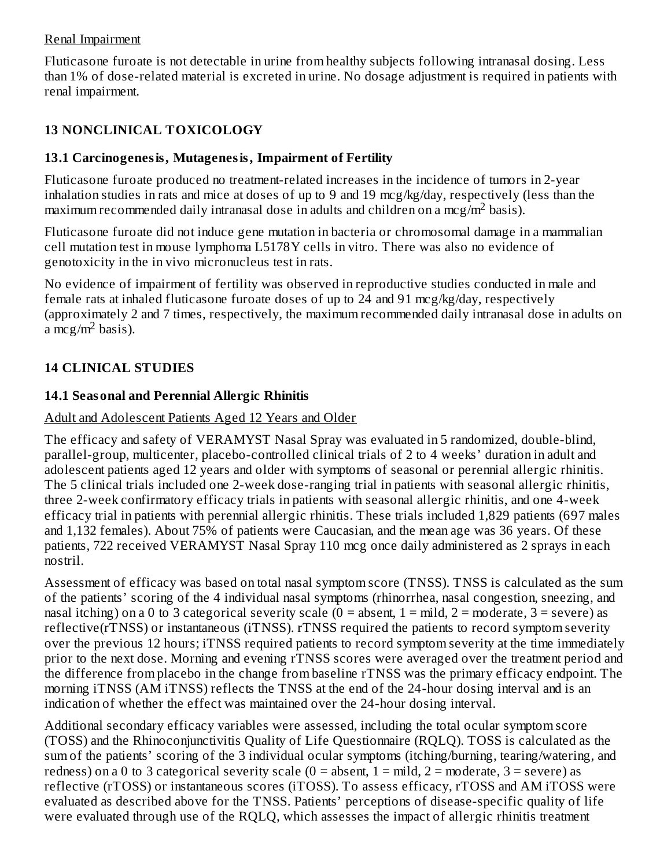#### Renal Impairment

Fluticasone furoate is not detectable in urine from healthy subjects following intranasal dosing. Less than 1% of dose-related material is excreted in urine. No dosage adjustment is required in patients with renal impairment.

### **13 NONCLINICAL TOXICOLOGY**

### **13.1 Carcinogenesis, Mutagenesis, Impairment of Fertility**

Fluticasone furoate produced no treatment-related increases in the incidence of tumors in 2-year inhalation studies in rats and mice at doses of up to 9 and 19 mcg/kg/day, respectively (less than the maximum recommended daily intranasal dose in adults and children on a mcg/m<sup>2</sup> basis).

Fluticasone furoate did not induce gene mutation in bacteria or chromosomal damage in a mammalian cell mutation test in mouse lymphoma L5178Y cells in vitro*.* There was also no evidence of genotoxicity in the in vivo micronucleus test in rats.

No evidence of impairment of fertility was observed in reproductive studies conducted in male and female rats at inhaled fluticasone furoate doses of up to 24 and 91 mcg/kg/day, respectively (approximately 2 and 7 times, respectively, the maximum recommended daily intranasal dose in adults on  $a$  mcg/m<sup>2</sup> basis).

### **14 CLINICAL STUDIES**

### **14.1 Seasonal and Perennial Allergic Rhinitis**

### Adult and Adolescent Patients Aged 12 Years and Older

The efficacy and safety of VERAMYST Nasal Spray was evaluated in 5 randomized, double-blind, parallel-group, multicenter, placebo-controlled clinical trials of 2 to 4 weeks' duration in adult and adolescent patients aged 12 years and older with symptoms of seasonal or perennial allergic rhinitis. The 5 clinical trials included one 2-week dose-ranging trial in patients with seasonal allergic rhinitis, three 2-week confirmatory efficacy trials in patients with seasonal allergic rhinitis, and one 4-week efficacy trial in patients with perennial allergic rhinitis. These trials included 1,829 patients (697 males and 1,132 females). About 75% of patients were Caucasian, and the mean age was 36 years. Of these patients, 722 received VERAMYST Nasal Spray 110 mcg once daily administered as 2 sprays in each nostril.

Assessment of efficacy was based on total nasal symptom score (TNSS). TNSS is calculated as the sum of the patients' scoring of the 4 individual nasal symptoms (rhinorrhea, nasal congestion, sneezing, and nasal itching) on a 0 to 3 categorical severity scale ( $0 =$  absent,  $1 =$  mild,  $2 =$  moderate,  $3 =$  severe) as reflective(rTNSS) or instantaneous (iTNSS). rTNSS required the patients to record symptom severity over the previous 12 hours; iTNSS required patients to record symptom severity at the time immediately prior to the next dose. Morning and evening rTNSS scores were averaged over the treatment period and the difference from placebo in the change from baseline rTNSS was the primary efficacy endpoint. The morning iTNSS (AM iTNSS) reflects the TNSS at the end of the 24-hour dosing interval and is an indication of whether the effect was maintained over the 24-hour dosing interval.

Additional secondary efficacy variables were assessed, including the total ocular symptom score (TOSS) and the Rhinoconjunctivitis Quality of Life Questionnaire (RQLQ). TOSS is calculated as the sum of the patients' scoring of the 3 individual ocular symptoms (itching/burning, tearing/watering, and redness) on a 0 to 3 categorical severity scale  $(0 = absent, 1 = mid, 2 = moderate, 3 = severe)$  as reflective (rTOSS) or instantaneous scores (iTOSS). To assess efficacy, rTOSS and AM iTOSS were evaluated as described above for the TNSS. Patients' perceptions of disease-specific quality of life were evaluated through use of the RQLQ, which assesses the impact of allergic rhinitis treatment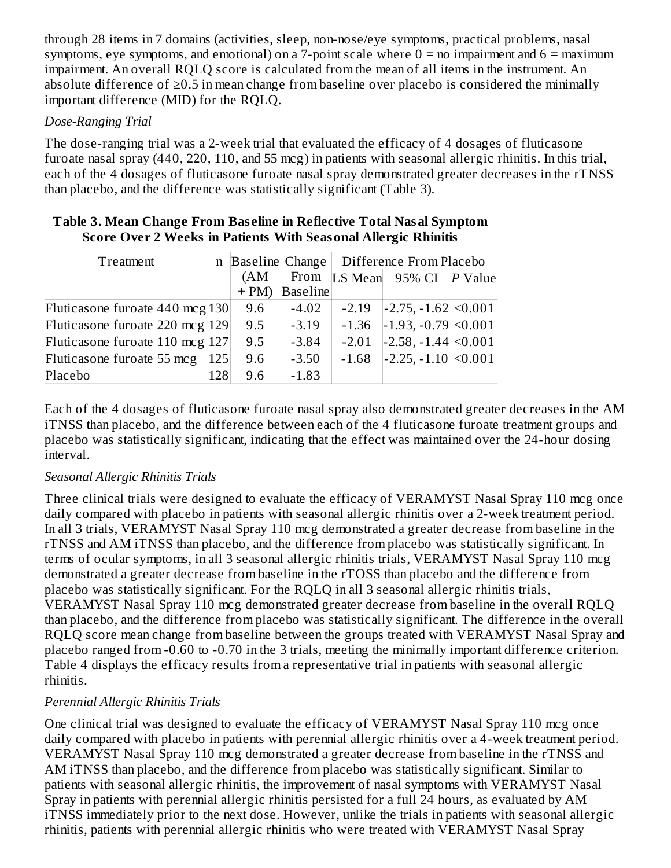through 28 items in 7 domains (activities, sleep, non-nose/eye symptoms, practical problems, nasal symptoms, eye symptoms, and emotional) on a 7-point scale where  $0 =$  no impairment and  $6 =$  maximum impairment. An overall RQLQ score is calculated from the mean of all items in the instrument. An absolute difference of ≥0.5 in mean change from baseline over placebo is considered the minimally important difference (MID) for the RQLQ.

### *Dose-Ranging Trial*

The dose-ranging trial was a 2-week trial that evaluated the efficacy of 4 dosages of fluticasone furoate nasal spray (440, 220, 110, and 55 mcg) in patients with seasonal allergic rhinitis. In this trial, each of the 4 dosages of fluticasone furoate nasal spray demonstrated greater decreases in the rTNSS than placebo, and the difference was statistically significant (Table 3).

| Treatment                                   | $\mathbf n$ |        | Baseline Change |         | Difference From Placebo                  |           |
|---------------------------------------------|-------------|--------|-----------------|---------|------------------------------------------|-----------|
|                                             |             | (AM    | From            |         | LS Mean 95% CI                           | $P$ Value |
|                                             |             | $+ PM$ | Baseline        |         |                                          |           |
| Fluticasone furoate $440 \text{ mcg}$ [130] |             | 9.6    | $-4.02$         | $-2.19$ | $ -2.75, -1.62  \le 0.001$               |           |
| Fluticasone furoate 220 mcg  129            |             | 9.5    | $-3.19$         | $-1.36$ | $\left  -1.93, -0.79 \right  \le 0.001$  |           |
| Fluticasone furoate 110 mcg  127            |             | 9.5    | $-3.84$         | $-2.01$ | $\left  -2.58, -1.44 \right  \leq 0.001$ |           |
| Fluticasone furoate 55 mcg                  | 125         | 9.6    | $-3.50$         | $-1.68$ | $\left  -2.25, -1.10 \right  \leq 0.001$ |           |
| Placebo                                     | 128         | 9.6    | $-1.83$         |         |                                          |           |

#### **Table 3. Mean Change From Bas eline in Reflective Total Nasal Symptom Score Over 2 Weeks in Patients With Seasonal Allergic Rhinitis**

Each of the 4 dosages of fluticasone furoate nasal spray also demonstrated greater decreases in the AM iTNSS than placebo, and the difference between each of the 4 fluticasone furoate treatment groups and placebo was statistically significant, indicating that the effect was maintained over the 24-hour dosing interval.

#### *Seasonal Allergic Rhinitis Trials*

Three clinical trials were designed to evaluate the efficacy of VERAMYST Nasal Spray 110 mcg once daily compared with placebo in patients with seasonal allergic rhinitis over a 2-week treatment period. In all 3 trials, VERAMYST Nasal Spray 110 mcg demonstrated a greater decrease from baseline in the rTNSS and AM iTNSS than placebo, and the difference from placebo was statistically significant. In terms of ocular symptoms, in all 3 seasonal allergic rhinitis trials, VERAMYST Nasal Spray 110 mcg demonstrated a greater decrease from baseline in the rTOSS than placebo and the difference from placebo was statistically significant. For the RQLQ in all 3 seasonal allergic rhinitis trials, VERAMYST Nasal Spray 110 mcg demonstrated greater decrease from baseline in the overall RQLQ than placebo, and the difference from placebo was statistically significant. The difference in the overall RQLQ score mean change from baseline between the groups treated with VERAMYST Nasal Spray and placebo ranged from -0.60 to -0.70 in the 3 trials, meeting the minimally important difference criterion. Table 4 displays the efficacy results from a representative trial in patients with seasonal allergic rhinitis.

### *Perennial Allergic Rhinitis Trials*

One clinical trial was designed to evaluate the efficacy of VERAMYST Nasal Spray 110 mcg once daily compared with placebo in patients with perennial allergic rhinitis over a 4-week treatment period. VERAMYST Nasal Spray 110 mcg demonstrated a greater decrease from baseline in the rTNSS and AM iTNSS than placebo, and the difference from placebo was statistically significant. Similar to patients with seasonal allergic rhinitis, the improvement of nasal symptoms with VERAMYST Nasal Spray in patients with perennial allergic rhinitis persisted for a full 24 hours, as evaluated by AM iTNSS immediately prior to the next dose. However, unlike the trials in patients with seasonal allergic rhinitis, patients with perennial allergic rhinitis who were treated with VERAMYST Nasal Spray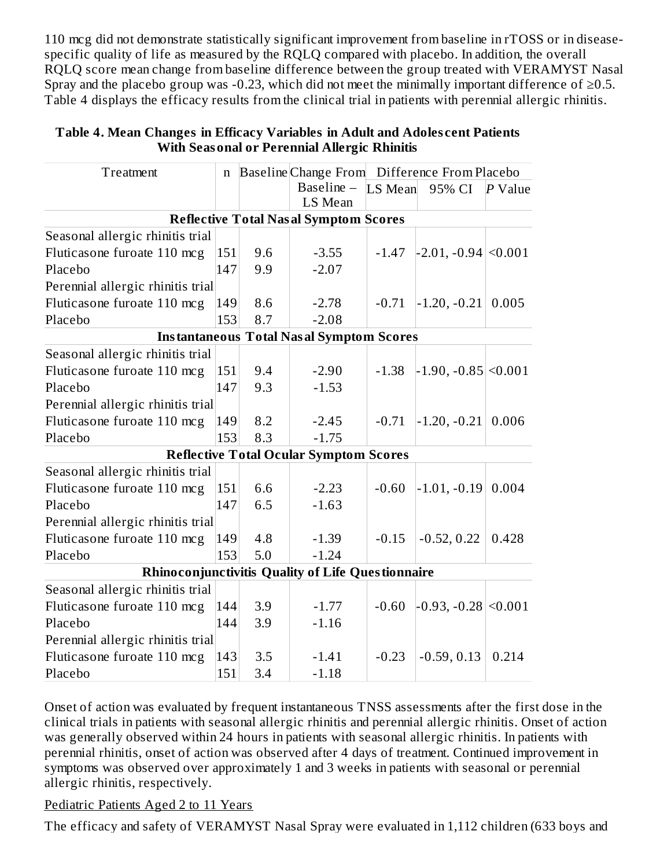110 mcg did not demonstrate statistically significant improvement from baseline in rTOSS or in diseasespecific quality of life as measured by the RQLQ compared with placebo. In addition, the overall RQLQ score mean change from baseline difference between the group treated with VERAMYST Nasal Spray and the placebo group was -0.23, which did not meet the minimally important difference of  $\geq 0.5$ . Table 4 displays the efficacy results from the clinical trial in patients with perennial allergic rhinitis.

| Treatment                                                | n   |     | Baseline Change From                            |         | Difference From Placebo  |           |
|----------------------------------------------------------|-----|-----|-------------------------------------------------|---------|--------------------------|-----------|
|                                                          |     |     | Baseline -                                      | LS Mean | 95% CI                   | $P$ Value |
|                                                          |     |     | LS Mean                                         |         |                          |           |
|                                                          |     |     | <b>Reflective Total Nasal Symptom Scores</b>    |         |                          |           |
| Seasonal allergic rhinitis trial                         |     |     |                                                 |         |                          |           |
| Fluticasone furoate 110 mcg                              | 151 | 9.6 | $-3.55$                                         | $-1.47$ | $-2.01, -0.94 \le 0.001$ |           |
| Placebo                                                  | 147 | 9.9 | $-2.07$                                         |         |                          |           |
| Perennial allergic rhinitis trial                        |     |     |                                                 |         |                          |           |
| Fluticasone furoate 110 mcg                              | 149 | 8.6 | $-2.78$                                         | $-0.71$ | $-1.20, -0.21$           | 0.005     |
| Placebo                                                  | 153 | 8.7 | $-2.08$                                         |         |                          |           |
|                                                          |     |     | <b>Instantaneous Total Nasal Symptom Scores</b> |         |                          |           |
| Seasonal allergic rhinitis trial                         |     |     |                                                 |         |                          |           |
| Fluticasone furoate 110 mcg                              | 151 | 9.4 | $-2.90$                                         | $-1.38$ | $-1.90, -0.85 \le 0.001$ |           |
| Placebo                                                  | 147 | 9.3 | $-1.53$                                         |         |                          |           |
| Perennial allergic rhinitis trial                        |     |     |                                                 |         |                          |           |
| Fluticasone furoate 110 mcg                              | 149 | 8.2 | $-2.45$                                         | $-0.71$ | $-1.20, -0.21$           | 0.006     |
| Placebo                                                  | 153 | 8.3 | $-1.75$                                         |         |                          |           |
|                                                          |     |     | <b>Reflective Total Ocular Symptom Scores</b>   |         |                          |           |
| Seasonal allergic rhinitis trial                         |     |     |                                                 |         |                          |           |
| Fluticasone furoate 110 mcg                              | 151 | 6.6 | $-2.23$                                         | $-0.60$ | $-1.01, -0.19$           | 0.004     |
| Placebo                                                  | 147 | 6.5 | $-1.63$                                         |         |                          |           |
| Perennial allergic rhinitis trial                        |     |     |                                                 |         |                          |           |
| Fluticasone furoate 110 mcg                              | 149 | 4.8 | $-1.39$                                         | $-0.15$ | $-0.52, 0.22$            | 0.428     |
| Placebo                                                  | 153 | 5.0 | $-1.24$                                         |         |                          |           |
| <b>Rhinoconjunctivitis Quality of Life Questionnaire</b> |     |     |                                                 |         |                          |           |
| Seasonal allergic rhinitis trial                         |     |     |                                                 |         |                          |           |
| Fluticasone furoate 110 mcg                              | 144 | 3.9 | $-1.77$                                         | $-0.60$ | $-0.93, -0.28$ < 0.001   |           |
| Placebo                                                  | 144 | 3.9 | $-1.16$                                         |         |                          |           |
| Perennial allergic rhinitis trial                        |     |     |                                                 |         |                          |           |
| Fluticasone furoate 110 mcg                              | 143 | 3.5 | $-1.41$                                         | $-0.23$ | $-0.59, 0.13$            | 0.214     |
| Placebo                                                  | 151 | 3.4 | $-1.18$                                         |         |                          |           |

#### **Table 4. Mean Changes in Efficacy Variables in Adult and Adoles cent Patients With Seasonal or Perennial Allergic Rhinitis**

Onset of action was evaluated by frequent instantaneous TNSS assessments after the first dose in the clinical trials in patients with seasonal allergic rhinitis and perennial allergic rhinitis. Onset of action was generally observed within 24 hours in patients with seasonal allergic rhinitis. In patients with perennial rhinitis, onset of action was observed after 4 days of treatment. Continued improvement in symptoms was observed over approximately 1 and 3 weeks in patients with seasonal or perennial allergic rhinitis, respectively.

Pediatric Patients Aged 2 to 11 Years

The efficacy and safety of VERAMYST Nasal Spray were evaluated in 1,112 children (633 boys and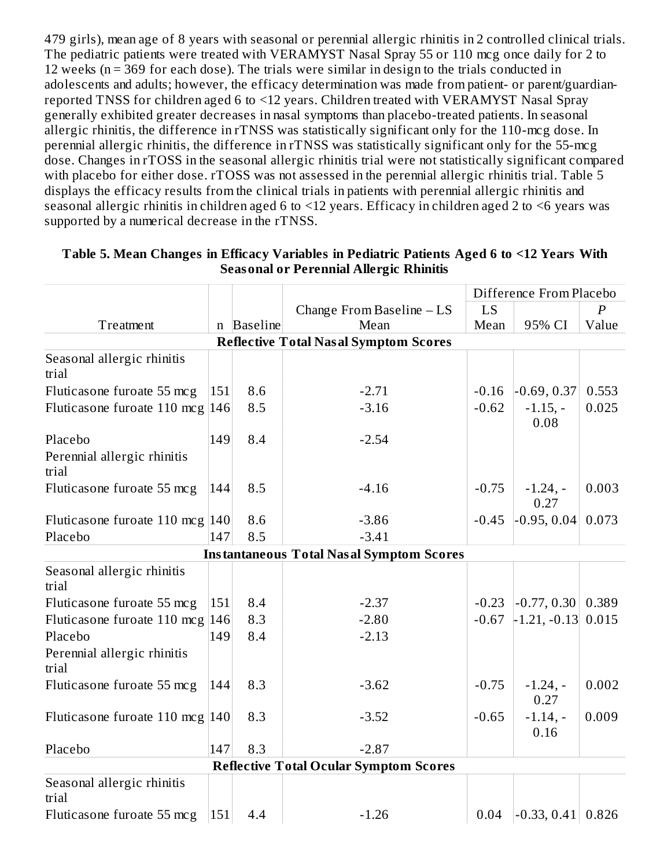479 girls), mean age of 8 years with seasonal or perennial allergic rhinitis in 2 controlled clinical trials. The pediatric patients were treated with VERAMYST Nasal Spray 55 or 110 mcg once daily for 2 to 12 weeks (n = 369 for each dose). The trials were similar in design to the trials conducted in adolescents and adults; however, the efficacy determination was made from patient- or parent/guardianreported TNSS for children aged 6 to <12 years. Children treated with VERAMYST Nasal Spray generally exhibited greater decreases in nasal symptoms than placebo-treated patients. In seasonal allergic rhinitis, the difference in rTNSS was statistically significant only for the 110-mcg dose. In perennial allergic rhinitis, the difference in rTNSS was statistically significant only for the 55-mcg dose. Changes in rTOSS in the seasonal allergic rhinitis trial were not statistically significant compared with placebo for either dose. rTOSS was not assessed in the perennial allergic rhinitis trial. Table 5 displays the efficacy results from the clinical trials in patients with perennial allergic rhinitis and seasonal allergic rhinitis in children aged 6 to <12 years. Efficacy in children aged 2 to <6 years was supported by a numerical decrease in the rTNSS.

|                                                 |     |            |                                                 |         | Difference From Placebo            |                  |
|-------------------------------------------------|-----|------------|-------------------------------------------------|---------|------------------------------------|------------------|
|                                                 |     |            | Change From Baseline $-LS$                      | LS      |                                    | $\boldsymbol{P}$ |
| Treatment                                       |     | n Baseline | Mean                                            | Mean    | 95% CI                             | Value            |
|                                                 |     |            | <b>Reflective Total Nasal Symptom Scores</b>    |         |                                    |                  |
| Seasonal allergic rhinitis<br>trial             |     |            |                                                 |         |                                    |                  |
| Fluticasone furoate 55 mcg                      | 151 | 8.6        | $-2.71$                                         | $-0.16$ | $-0.69, 0.37$                      | 0.553            |
| Fluticasone furoate 110 mcg $ 146 $             |     | 8.5        | $-3.16$                                         | $-0.62$ | $-1.15, -$<br>0.08                 | 0.025            |
| Placebo<br>Perennial allergic rhinitis<br>trial | 149 | 8.4        | $-2.54$                                         |         |                                    |                  |
| Fluticasone furoate 55 mcg                      | 144 | 8.5        | $-4.16$                                         | $-0.75$ | $-1.24, -$<br>0.27                 | 0.003            |
| Fluticasone furoate 110 mcg 140                 |     | 8.6        | $-3.86$                                         | $-0.45$ | $-0.95, 0.04$                      | 0.073            |
| Placebo                                         | 147 | 8.5        | $-3.41$                                         |         |                                    |                  |
|                                                 |     |            | <b>Instantaneous Total Nasal Symptom Scores</b> |         |                                    |                  |
| Seasonal allergic rhinitis<br>trial             |     |            |                                                 |         |                                    |                  |
| Fluticasone furoate 55 mcg                      | 151 | 8.4        | $-2.37$                                         | $-0.23$ | $\left  -0.77, 0.30 \right  0.389$ |                  |
| Fluticasone furoate 110 mcg $ 146 $             |     | 8.3        | $-2.80$                                         | $-0.67$ | $-1.21, -0.13$                     | 0.015            |
| Placebo                                         | 149 | 8.4        | $-2.13$                                         |         |                                    |                  |
| Perennial allergic rhinitis<br>trial            |     |            |                                                 |         |                                    |                  |
| Fluticasone furoate 55 mcg                      | 144 | 8.3        | $-3.62$                                         | $-0.75$ | $-1.24, -$<br>0.27                 | 0.002            |
| Fluticasone furoate 110 mcg $ 140 $             |     | 8.3        | $-3.52$                                         | $-0.65$ | $-1.14, -$<br>0.16                 | 0.009            |
| Placebo                                         | 147 | 8.3        | $-2.87$                                         |         |                                    |                  |
|                                                 |     |            | <b>Reflective Total Ocular Symptom Scores</b>   |         |                                    |                  |
| Seasonal allergic rhinitis<br>trial             |     |            |                                                 |         |                                    |                  |
| Fluticasone furoate 55 mcg                      | 151 | 4.4        | $-1.26$                                         | 0.04    | $\left  -0.33, 0.41 \right  0.826$ |                  |

#### **Table 5. Mean Changes in Efficacy Variables in Pediatric Patients Aged 6 to <12 Years With Seasonal or Perennial Allergic Rhinitis**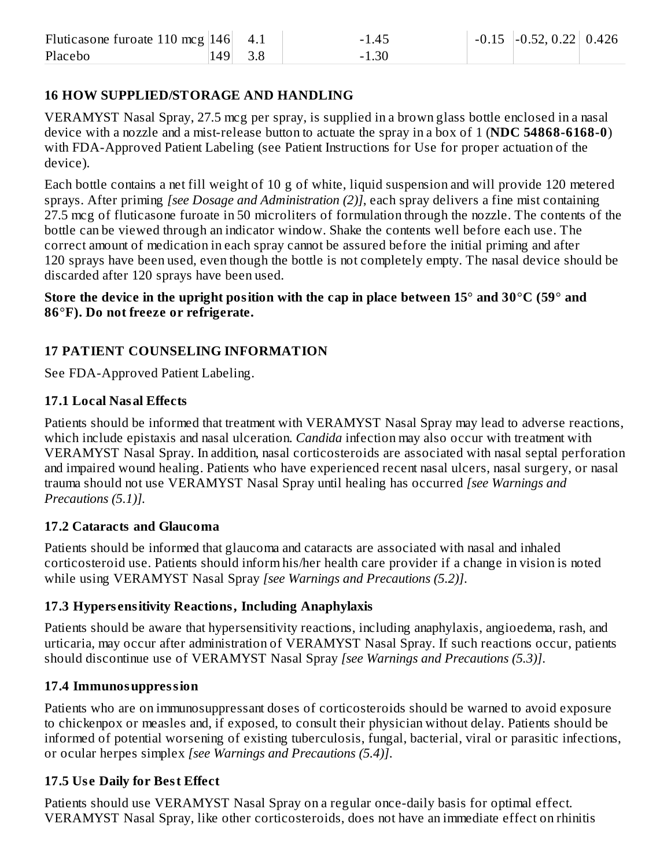| Fluticasone furoate 110 mcg $ 146 $ 4.1 |         | $-1.45$ | $-0.15$ $-0.52, 0.22$ 0.426 |  |
|-----------------------------------------|---------|---------|-----------------------------|--|
| Placebo                                 | 149 3.8 | $-1.30$ |                             |  |

### **16 HOW SUPPLIED/STORAGE AND HANDLING**

VERAMYST Nasal Spray, 27.5 mcg per spray, is supplied in a brown glass bottle enclosed in a nasal device with a nozzle and a mist-release button to actuate the spray in a box of 1 (**NDC 54868-6168-0**) with FDA-Approved Patient Labeling (see Patient Instructions for Use for proper actuation of the device).

Each bottle contains a net fill weight of 10 g of white, liquid suspension and will provide 120 metered sprays. After priming *[see Dosage and Administration (2)]*, each spray delivers a fine mist containing 27.5 mcg of fluticasone furoate in 50 microliters of formulation through the nozzle. The contents of the bottle can be viewed through an indicator window. Shake the contents well before each use. The correct amount of medication in each spray cannot be assured before the initial priming and after 120 sprays have been used, even though the bottle is not completely empty. The nasal device should be discarded after 120 sprays have been used.

#### Store the device in the upright position with the cap in place between  $15^{\circ}$  and  $30^{\circ}$ C (59 $^{\circ}$  and **86**°**F). Do not freeze or refrigerate.**

### **17 PATIENT COUNSELING INFORMATION**

See FDA-Approved Patient Labeling.

#### **17.1 Local Nasal Effects**

Patients should be informed that treatment with VERAMYST Nasal Spray may lead to adverse reactions, which include epistaxis and nasal ulceration. *Candida* infection may also occur with treatment with VERAMYST Nasal Spray. In addition, nasal corticosteroids are associated with nasal septal perforation and impaired wound healing. Patients who have experienced recent nasal ulcers, nasal surgery, or nasal trauma should not use VERAMYST Nasal Spray until healing has occurred *[see Warnings and Precautions (5.1)].*

#### **17.2 Cataracts and Glaucoma**

Patients should be informed that glaucoma and cataracts are associated with nasal and inhaled corticosteroid use. Patients should inform his/her health care provider if a change in vision is noted while using VERAMYST Nasal Spray *[see Warnings and Precautions (5.2)]*.

#### **17.3 Hypers ensitivity Reactions, Including Anaphylaxis**

Patients should be aware that hypersensitivity reactions, including anaphylaxis, angioedema, rash, and urticaria, may occur after administration of VERAMYST Nasal Spray. If such reactions occur, patients should discontinue use of VERAMYST Nasal Spray *[see Warnings and Precautions (5.3)]*.

#### **17.4 Immunosuppression**

Patients who are on immunosuppressant doses of corticosteroids should be warned to avoid exposure to chickenpox or measles and, if exposed, to consult their physician without delay. Patients should be informed of potential worsening of existing tuberculosis, fungal, bacterial, viral or parasitic infections, or ocular herpes simplex *[see Warnings and Precautions (5.4)]*.

### **17.5 Us e Daily for Best Effect**

Patients should use VERAMYST Nasal Spray on a regular once-daily basis for optimal effect. VERAMYST Nasal Spray, like other corticosteroids, does not have an immediate effect on rhinitis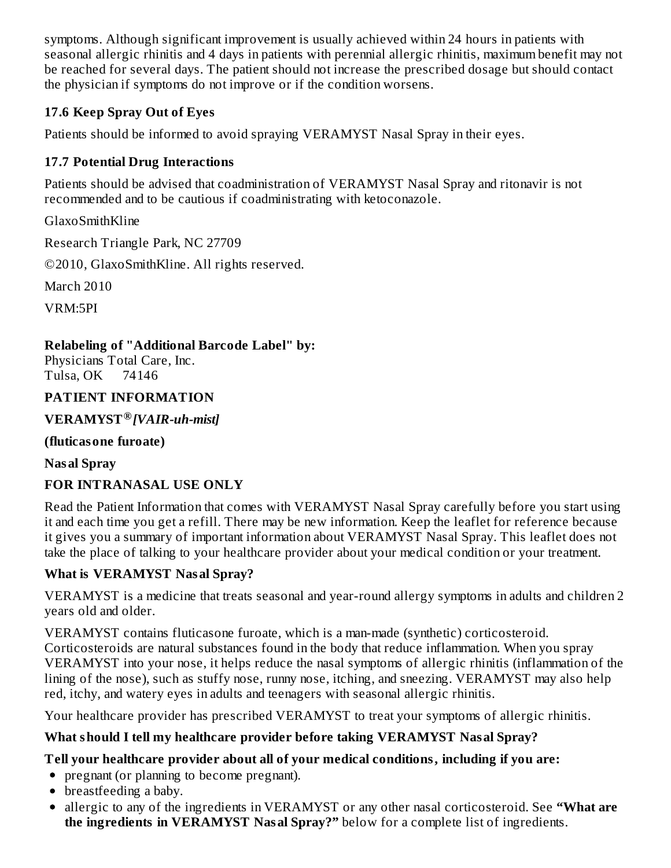symptoms. Although significant improvement is usually achieved within 24 hours in patients with seasonal allergic rhinitis and 4 days in patients with perennial allergic rhinitis, maximum benefit may not be reached for several days. The patient should not increase the prescribed dosage but should contact the physician if symptoms do not improve or if the condition worsens.

### **17.6 Keep Spray Out of Eyes**

Patients should be informed to avoid spraying VERAMYST Nasal Spray in their eyes.

# **17.7 Potential Drug Interactions**

Patients should be advised that coadministration of VERAMYST Nasal Spray and ritonavir is not recommended and to be cautious if coadministrating with ketoconazole.

GlaxoSmithKline

Research Triangle Park, NC 27709

©2010, GlaxoSmithKline. All rights reserved.

March 2010

VRM:5PI

# **Relabeling of "Additional Barcode Label" by:**

Physicians Total Care, Inc. Tulsa, OK 74146

### **PATIENT INFORMATION**

**VERAMYST** *[VAIR-uh-mist]* **®**

### **(fluticasone furoate)**

**Nasal Spray**

# **FOR INTRANASAL USE ONLY**

Read the Patient Information that comes with VERAMYST Nasal Spray carefully before you start using it and each time you get a refill. There may be new information. Keep the leaflet for reference because it gives you a summary of important information about VERAMYST Nasal Spray. This leaflet does not take the place of talking to your healthcare provider about your medical condition or your treatment.

# **What is VERAMYST Nasal Spray?**

VERAMYST is a medicine that treats seasonal and year-round allergy symptoms in adults and children 2 years old and older.

VERAMYST contains fluticasone furoate, which is a man-made (synthetic) corticosteroid. Corticosteroids are natural substances found in the body that reduce inflammation. When you spray VERAMYST into your nose, it helps reduce the nasal symptoms of allergic rhinitis (inflammation of the lining of the nose), such as stuffy nose, runny nose, itching, and sneezing. VERAMYST may also help red, itchy, and watery eyes in adults and teenagers with seasonal allergic rhinitis.

Your healthcare provider has prescribed VERAMYST to treat your symptoms of allergic rhinitis.

# **What should I tell my healthcare provider before taking VERAMYST Nasal Spray?**

# **Tell your healthcare provider about all of your medical conditions, including if you are:**

• pregnant (or planning to become pregnant).

- breastfeeding a baby.
- allergic to any of the ingredients in VERAMYST or any other nasal corticosteroid. See **"What are the ingredients in VERAMYST Nasal Spray?"** below for a complete list of ingredients.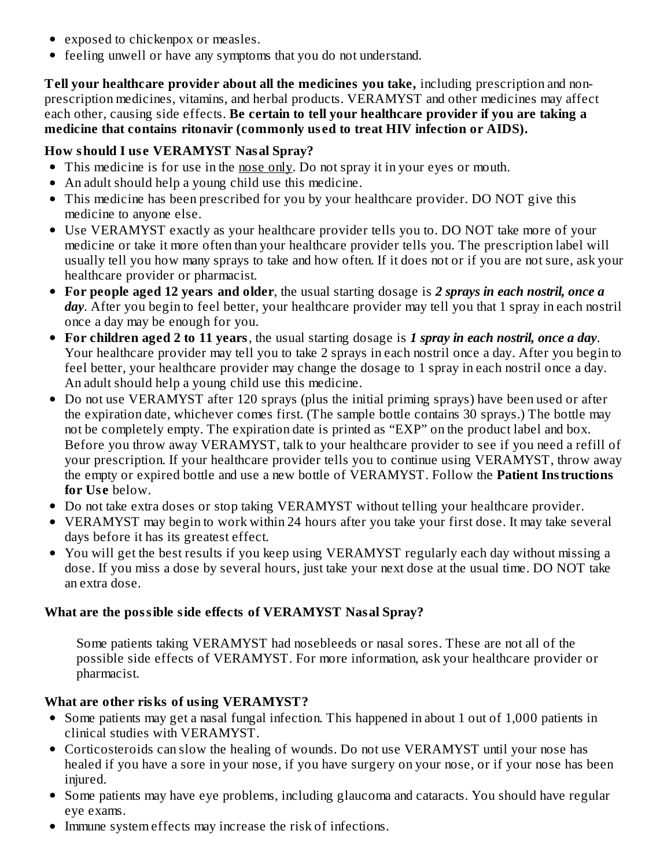- exposed to chickenpox or measles.
- feeling unwell or have any symptoms that you do not understand.

**Tell your healthcare provider about all the medicines you take,** including prescription and nonprescription medicines, vitamins, and herbal products. VERAMYST and other medicines may affect each other, causing side effects. **Be certain to tell your healthcare provider if you are taking a medicine that contains ritonavir (commonly us ed to treat HIV infection or AIDS).**

### **How should I us e VERAMYST Nasal Spray?**

- This medicine is for use in the nose only. Do not spray it in your eyes or mouth.
- An adult should help a young child use this medicine.
- This medicine has been prescribed for you by your healthcare provider. DO NOT give this medicine to anyone else.
- Use VERAMYST exactly as your healthcare provider tells you to. DO NOT take more of your medicine or take it more often than your healthcare provider tells you. The prescription label will usually tell you how many sprays to take and how often. If it does not or if you are not sure, ask your healthcare provider or pharmacist.
- **For people aged 12 years and older**, the usual starting dosage is *2 sprays in each nostril, once a day*. After you begin to feel better, your healthcare provider may tell you that 1 spray in each nostril once a day may be enough for you.
- **For children aged 2 to 11 years**, the usual starting dosage is *1 spray in each nostril, once a day*. Your healthcare provider may tell you to take 2 sprays in each nostril once a day. After you begin to feel better, your healthcare provider may change the dosage to 1 spray in each nostril once a day. An adult should help a young child use this medicine.
- Do not use VERAMYST after 120 sprays (plus the initial priming sprays) have been used or after the expiration date, whichever comes first. (The sample bottle contains 30 sprays.) The bottle may not be completely empty. The expiration date is printed as "EXP" on the product label and box. Before you throw away VERAMYST, talk to your healthcare provider to see if you need a refill of your prescription. If your healthcare provider tells you to continue using VERAMYST, throw away the empty or expired bottle and use a new bottle of VERAMYST. Follow the **Patient Instructions** for Use below.
- Do not take extra doses or stop taking VERAMYST without telling your healthcare provider.
- VERAMYST may begin to work within 24 hours after you take your first dose. It may take several days before it has its greatest effect.
- You will get the best results if you keep using VERAMYST regularly each day without missing a dose. If you miss a dose by several hours, just take your next dose at the usual time. DO NOT take an extra dose.

### **What are the possible side effects of VERAMYST Nasal Spray?**

Some patients taking VERAMYST had nosebleeds or nasal sores. These are not all of the possible side effects of VERAMYST. For more information, ask your healthcare provider or pharmacist.

# **What are other risks of using VERAMYST?**

- Some patients may get a nasal fungal infection. This happened in about 1 out of 1,000 patients in clinical studies with VERAMYST.
- Corticosteroids can slow the healing of wounds. Do not use VERAMYST until your nose has healed if you have a sore in your nose, if you have surgery on your nose, or if your nose has been injured.
- Some patients may have eye problems, including glaucoma and cataracts. You should have regular eye exams.
- Immune system effects may increase the risk of infections.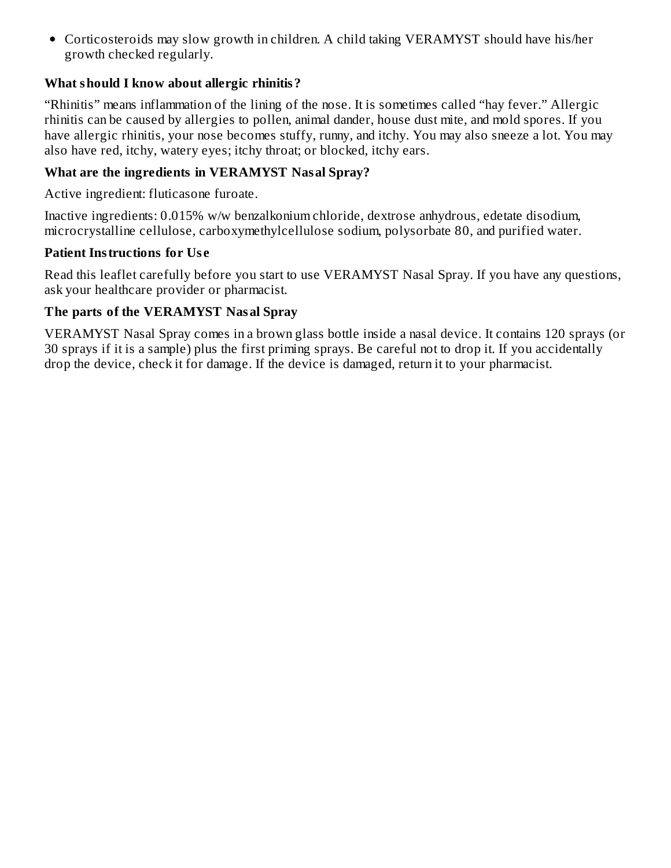• Corticosteroids may slow growth in children. A child taking VERAMYST should have his/her growth checked regularly.

### **What should I know about allergic rhinitis?**

"Rhinitis" means inflammation of the lining of the nose. It is sometimes called "hay fever." Allergic rhinitis can be caused by allergies to pollen, animal dander, house dust mite, and mold spores. If you have allergic rhinitis, your nose becomes stuffy, runny, and itchy. You may also sneeze a lot. You may also have red, itchy, watery eyes; itchy throat; or blocked, itchy ears.

#### **What are the ingredients in VERAMYST Nasal Spray?**

Active ingredient: fluticasone furoate.

Inactive ingredients: 0.015% w/w benzalkonium chloride, dextrose anhydrous, edetate disodium, microcrystalline cellulose, carboxymethylcellulose sodium, polysorbate 80, and purified water.

#### **Patient Instructions for Us e**

Read this leaflet carefully before you start to use VERAMYST Nasal Spray. If you have any questions, ask your healthcare provider or pharmacist.

#### **The parts of the VERAMYST Nasal Spray**

VERAMYST Nasal Spray comes in a brown glass bottle inside a nasal device. It contains 120 sprays (or 30 sprays if it is a sample) plus the first priming sprays. Be careful not to drop it. If you accidentally drop the device, check it for damage. If the device is damaged, return it to your pharmacist.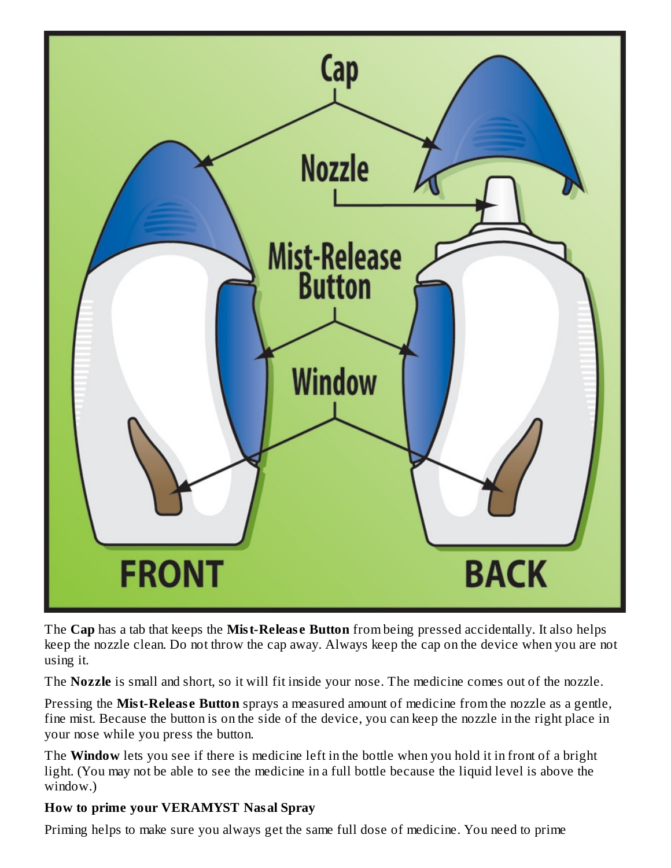

The **Cap** has a tab that keeps the **Mist-Releas e Button** from being pressed accidentally. It also helps keep the nozzle clean. Do not throw the cap away. Always keep the cap on the device when you are not using it.

The **Nozzle** is small and short, so it will fit inside your nose. The medicine comes out of the nozzle.

Pressing the **Mist-Releas e Button** sprays a measured amount of medicine from the nozzle as a gentle, fine mist. Because the button is on the side of the device, you can keep the nozzle in the right place in your nose while you press the button.

The **Window** lets you see if there is medicine left in the bottle when you hold it in front of a bright light. (You may not be able to see the medicine in a full bottle because the liquid level is above the window.)

### **How to prime your VERAMYST Nasal Spray**

Priming helps to make sure you always get the same full dose of medicine. You need to prime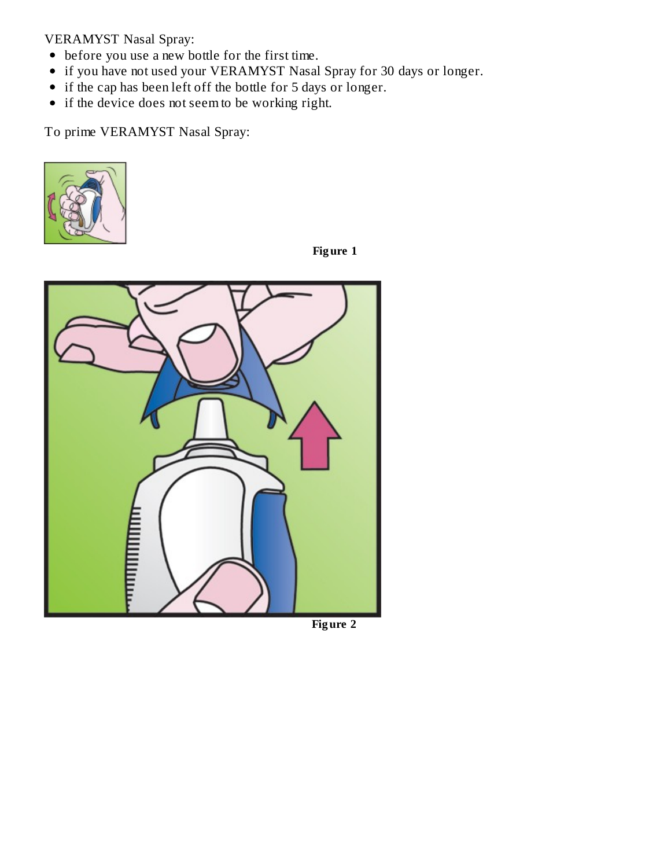VERAMYST Nasal Spray:

- before you use a new bottle for the first time.
- if you have not used your VERAMYST Nasal Spray for 30 days or longer.
- if the cap has been left off the bottle for 5 days or longer.
- if the device does not seem to be working right.

To prime VERAMYST Nasal Spray:



**Fig ure 1**



**Fig ure 2**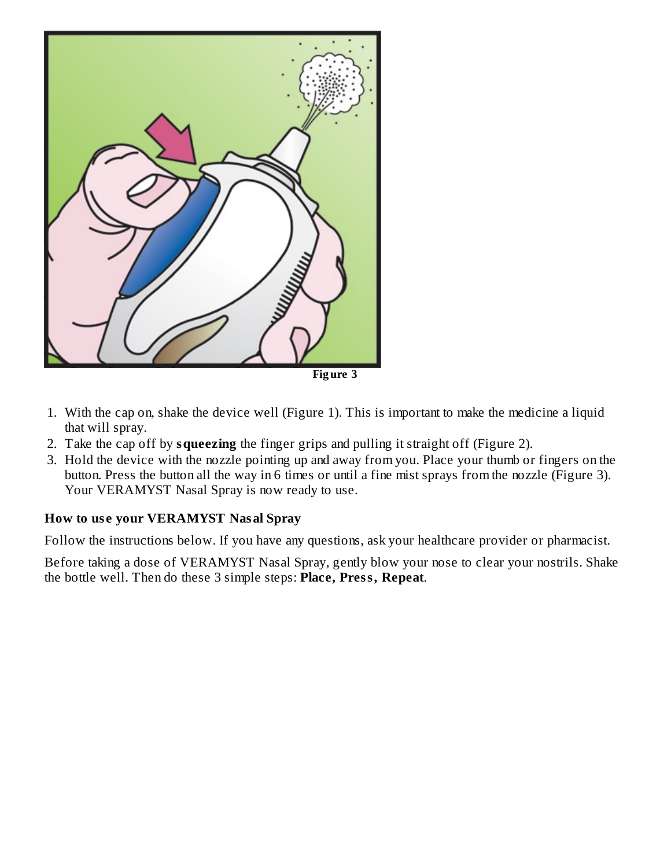

- 1. With the cap on, shake the device well (Figure 1). This is important to make the medicine a liquid that will spray.
- 2. Take the cap off by **squeezing** the finger grips and pulling it straight off (Figure 2).
- 3. Hold the device with the nozzle pointing up and away from you. Place your thumb or fingers on the button. Press the button all the way in 6 times or until a fine mist sprays from the nozzle (Figure 3). Your VERAMYST Nasal Spray is now ready to use.

#### **How to us e your VERAMYST Nasal Spray**

Follow the instructions below. If you have any questions, ask your healthcare provider or pharmacist.

Before taking a dose of VERAMYST Nasal Spray, gently blow your nose to clear your nostrils. Shake the bottle well. Then do these 3 simple steps: **Place, Press, Repeat**.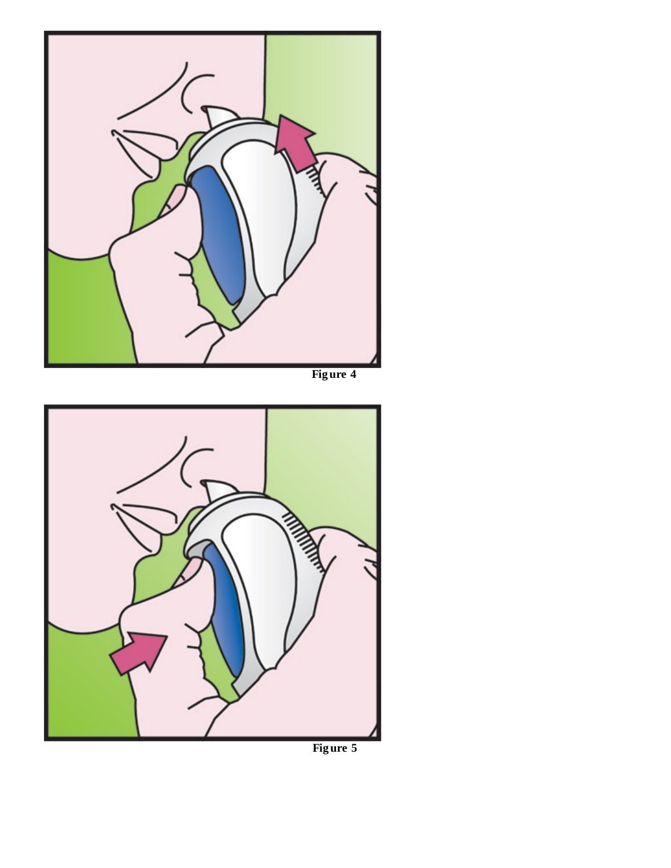



**Fig ure 5**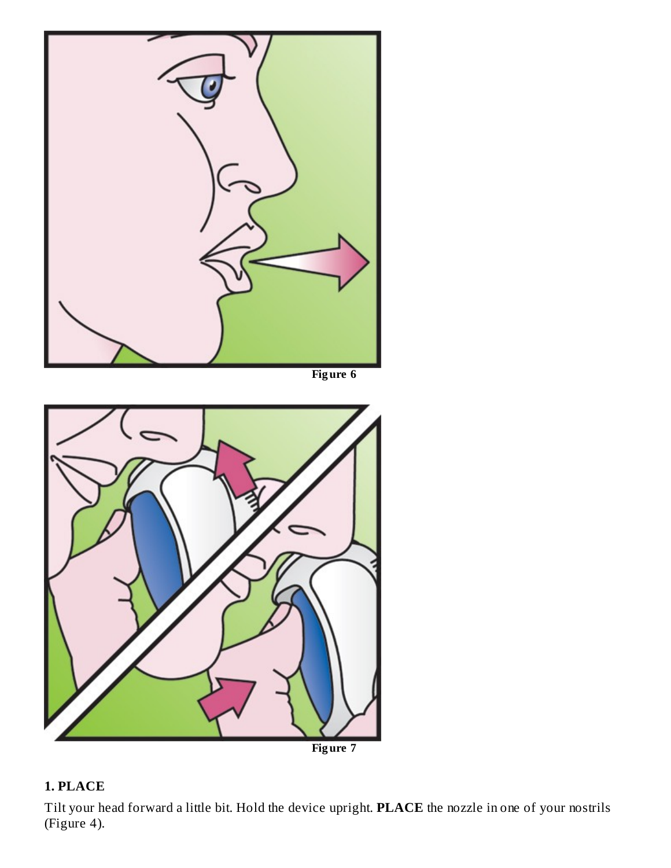

# **Fig ure 7**

# **1. PLACE**

Tilt your head forward a little bit. Hold the device upright. **PLACE** the nozzle in one of your nostrils (Figure 4).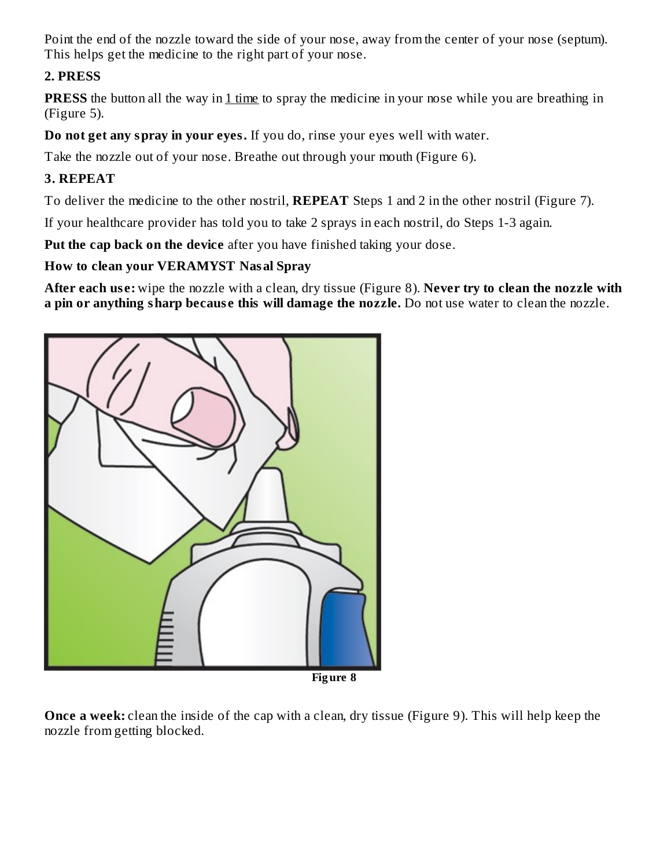Point the end of the nozzle toward the side of your nose, away from the center of your nose (septum). This helps get the medicine to the right part of your nose.

### **2. PRESS**

**PRESS** the button all the way in 1 time to spray the medicine in your nose while you are breathing in (Figure 5).

**Do not get any spray in your eyes.** If you do, rinse your eyes well with water.

Take the nozzle out of your nose. Breathe out through your mouth (Figure 6).

# **3. REPEAT**

To deliver the medicine to the other nostril, **REPEAT** Steps 1 and 2 in the other nostril (Figure 7).

If your healthcare provider has told you to take 2 sprays in each nostril, do Steps 1-3 again.

**Put the cap back on the device** after you have finished taking your dose.

### **How to clean your VERAMYST Nasal Spray**

**After each us e:** wipe the nozzle with a clean, dry tissue (Figure 8). **Never try to clean the nozzle with a pin or anything sharp becaus e this will damage the nozzle.** Do not use water to clean the nozzle.



**Once a week:** clean the inside of the cap with a clean, dry tissue (Figure 9). This will help keep the nozzle from getting blocked.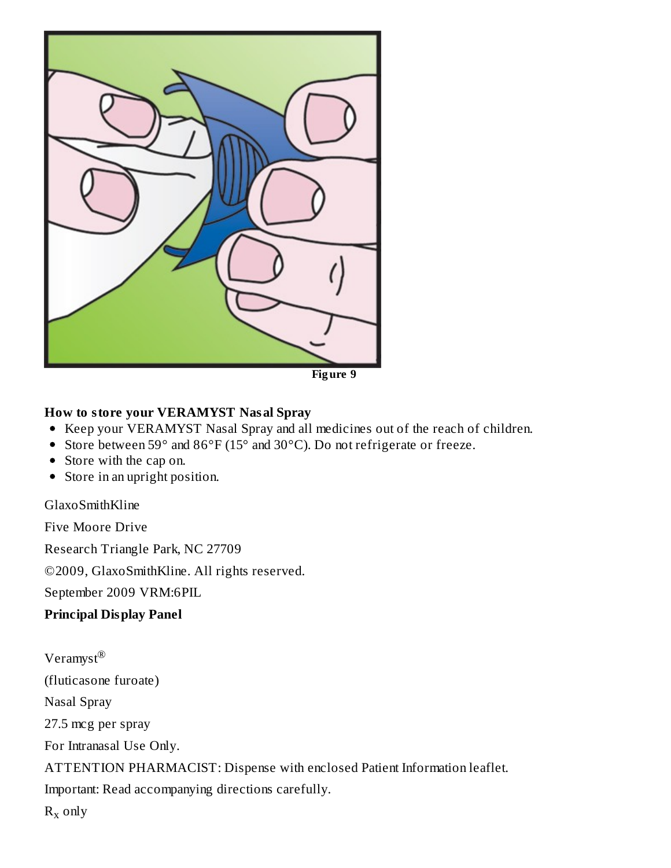

### **How to store your VERAMYST Nasal Spray**

- Keep your VERAMYST Nasal Spray and all medicines out of the reach of children.
- Store between 59° and 86°F (15° and 30°C). Do not refrigerate or freeze.
- Store with the cap on.
- Store in an upright position.

#### GlaxoSmithKline

Five Moore Drive

Research Triangle Park, NC 27709

©2009, GlaxoSmithKline. All rights reserved.

September 2009 VRM:6PIL

#### **Principal Display Panel**

 $\mathsf{Veramyst}^\circledR$ (fluticasone furoate) Nasal Spray 27.5 mcg per spray For Intranasal Use Only. ATTENTION PHARMACIST: Dispense with enclosed Patient Information leaflet. Important: Read accompanying directions carefully.  $R_x$  only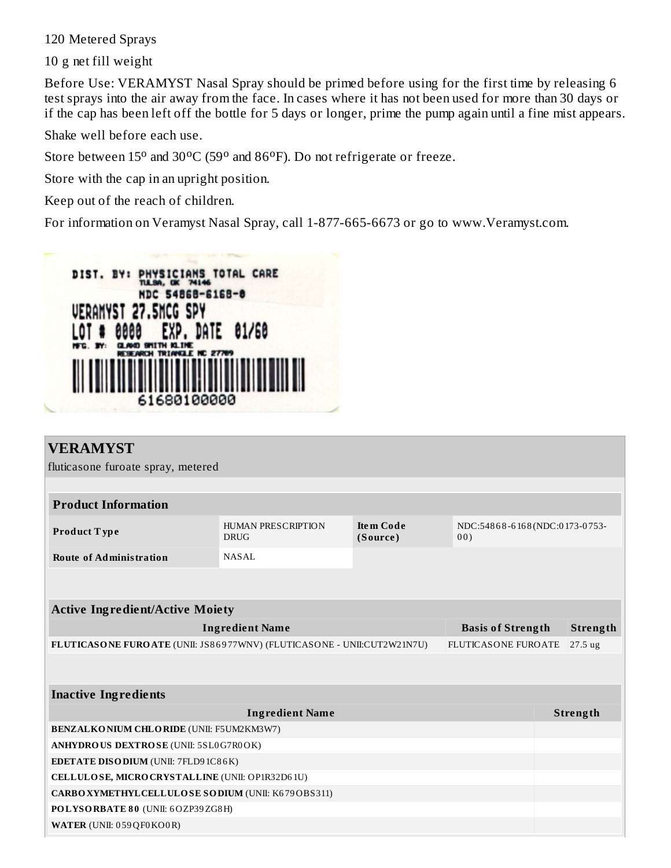120 Metered Sprays

10 g net fill weight

Before Use: VERAMYST Nasal Spray should be primed before using for the first time by releasing 6 test sprays into the air away from the face. In cases where it has not been used for more than 30 days or if the cap has been left off the bottle for 5 days or longer, prime the pump again until a fine mist appears.

Shake well before each use.

Store between  $15^{\circ}$  and  $30^{\circ}$ C (59° and  $86^{\circ}$ F). Do not refrigerate or freeze.

Store with the cap in an upright position.

Keep out of the reach of children.

For information on Veramyst Nasal Spray, call 1-877-665-6673 or go to www.Veramyst.com.



| <b>VERAMYST</b>                                                        |                                   |                              |                                      |          |
|------------------------------------------------------------------------|-----------------------------------|------------------------------|--------------------------------------|----------|
| fluticasone furoate spray, metered                                     |                                   |                              |                                      |          |
|                                                                        |                                   |                              |                                      |          |
|                                                                        |                                   |                              |                                      |          |
| <b>Product Information</b>                                             |                                   |                              |                                      |          |
| Product Type                                                           | HUMAN PRESCRIPTION<br><b>DRUG</b> | <b>Item Code</b><br>(Source) | NDC:54868-6168(NDC:0173-0753-<br>00) |          |
| <b>Route of Administration</b>                                         | NASAL                             |                              |                                      |          |
|                                                                        |                                   |                              |                                      |          |
|                                                                        |                                   |                              |                                      |          |
| <b>Active Ingredient/Active Moiety</b>                                 |                                   |                              |                                      |          |
|                                                                        | <b>Ingredient Name</b>            |                              | <b>Basis of Strength</b>             | Strength |
| FLUTICASONE FUROATE (UNII: JS86977WNV) (FLUTICASONE - UNII:CUT2W21N7U) |                                   |                              | <b>FLUTICASONE FUROATE</b>           | 27.5 ug  |
|                                                                        |                                   |                              |                                      |          |
|                                                                        |                                   |                              |                                      |          |
| <b>Inactive Ingredients</b>                                            |                                   |                              |                                      |          |
|                                                                        | <b>Ingredient Name</b>            |                              |                                      | Strength |
| <b>BENZALKONIUM CHLORIDE (UNII: F5UM2KM3W7)</b>                        |                                   |                              |                                      |          |
| ANHYDROUS DEXTROSE (UNII: 5SL0G7R0OK)                                  |                                   |                              |                                      |          |
| <b>EDETATE DISODIUM (UNII: 7FLD9 1C86K)</b>                            |                                   |                              |                                      |          |
| CELLULOSE, MICRO CRYSTALLINE (UNII: OP1R32D61U)                        |                                   |                              |                                      |          |
| CARBOXYMETHYLCELLULOSE SODIUM (UNII: K679OBS311)                       |                                   |                              |                                      |          |
| POLYSORBATE 80 (UNII: 6OZP39ZG8H)                                      |                                   |                              |                                      |          |
| WATER (UNII: 059 QF0 KO0 R)                                            |                                   |                              |                                      |          |
|                                                                        |                                   |                              |                                      |          |